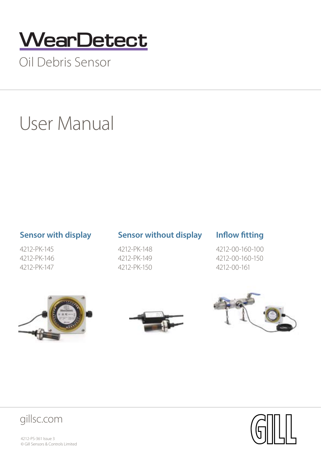## **WearDetect**

Oil Debris Sensor

## User Manual

4212-PK-145 4212-PK-146 4212-PK-147

### **Sensor with display Sensor without display Inflow fitting**

4212-PK-148 4212-PK-149 4212-PK-150

4212-00-160-100 4212-00-160-150 4212-00-161











 4212-PS-361 Issue 3 © Gill Sensors & Controls Limited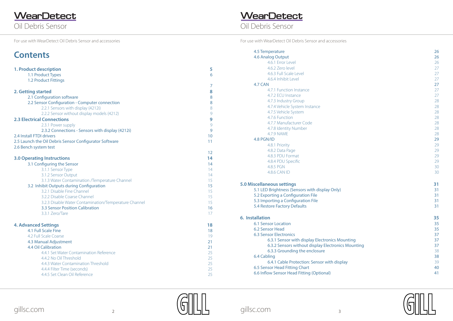**WearDetect**<br>Oil Debris Sensor

For use with WearDetect Oil Debris Sensor and accessories For use with WearDetect Oil Debris Sensor and accessories

| <b>Contents</b>                                        |    |
|--------------------------------------------------------|----|
| 1. Product description                                 | 5  |
| 1.1 Product Types                                      | 6  |
| 1.2 Product Fittings                                   |    |
|                                                        | 7  |
| 2. Getting started                                     | 8  |
| 2.1 Configuration software                             | 8  |
| 2.2 Sensor Configuration - Computer connection         | 8  |
| 2.2.1 Sensors with display (4212i)                     | 8  |
| 2.2.2 Sensor without display models (4212)             | 9  |
| <b>2.3 Electrical Connections</b>                      | 9  |
| 2.3.1 Power supply                                     | 9  |
| 2.3.2 Connections - Sensors with display (4212i)       | 9  |
| 2.4 Install FTDI drivers                               | 10 |
| 2.5 Launch the Oil Debris Sensor Configurator Software | 11 |
| 2.6 Bench system test                                  |    |
|                                                        | 12 |
| <b>3.0 Operating Instructions</b>                      | 14 |
| 3.1 Configuring the Sensor                             | 14 |
| 3.1.1 Sensor Type                                      | 14 |
| 3.1.2 Sensor Output                                    | 14 |
| 3.1.3 Water Contamination /Temperature Channel         | 15 |
| 3.2 Inhibit Outputs during Configuration               | 15 |
| 3.2.1 Disable Fine Channel                             | 15 |
| 3.2.2 Disable Coarse Channel                           | 15 |
| 3.2.3 Disable Water Contamination/Temperature Channel  | 15 |
| <b>3.3 Sensor Position Calibration</b>                 | 16 |
| 3.3.1 Zero/Tare                                        | 17 |
| <b>4. Advanced Settings</b>                            | 18 |
| 4.1 Full Scale Fine                                    | 18 |
| 4.2 Full Scale Coarse                                  | 19 |
| 4.3 Manual Adjustment                                  | 21 |
| <b>4.4 Oil Calibration</b>                             | 21 |
| 4.4.1 Set Water Contamination Reference                | 25 |
| 4.4.2 No Oil Threshold                                 | 25 |
| 4.4.3 Water Contamination Threshold                    | 25 |
| 4.4.4 Filter Time (seconds)                            | 25 |
| 4.4.5 Set Clean Oil Reference                          | 25 |

# **WearDetect**<br>Oil Debris Sensor

| 4.7.5 Vehicle System                               | 28 |
|----------------------------------------------------|----|
| 4.7.6 Function                                     | 28 |
| 4.7.7 Manufacturer Code                            | 28 |
| 4.7.8 Identity Number                              | 28 |
| <b>4.7.9 NAME</b>                                  | 28 |
| 4.8 PGN/ID                                         | 29 |
| 4.8.1 Priority                                     | 29 |
| 4.8.2 Data Page                                    | 29 |
| 4.8.3 PDU Format                                   | 29 |
| 4.8.4 PDU Specific                                 | 29 |
| 4.8.5 PGN                                          | 30 |
| 4.8.6 CAN ID                                       | 30 |
| scellaneous settings                               | 31 |
| 5.1 LED Brightness (Sensors with display Only)     | 31 |
| 5.2 Exporting a Configuration File                 | 31 |
| 5.3 Importing a Configuration File                 | 31 |
| 5.4 Restore Factory Defaults                       | 31 |
| allation                                           | 35 |
| <b>6.1 Sensor Location</b>                         | 35 |
| <b>6.2 Sensor Head</b>                             | 35 |
| <b>6.3 Sensor Electronics</b>                      | 37 |
| 6.3.1 Sensor with display Electronics Mounting     | 37 |
| 6.3.2 Sensors without display Electronics Mounting | 37 |
| 6.3.3 Grounding the enclosure                      | 38 |
| 6.4 Cabling                                        | 38 |
| 6.4.1 Cable Protection: Sensor with display        | 39 |
| 6.5 Sensor Head Fitting Chart                      | 40 |
| 6.6 Inflow Sensor Head Fitting (Optional)          | 41 |
|                                                    |    |

| 4.5 Temperature                                    | 26 |
|----------------------------------------------------|----|
| <b>4.6 Analog Output</b>                           | 26 |
| 4.6.1 Error Level                                  | 26 |
| 4.6.2 Zero level                                   | 27 |
| 4.6.3 Full Scale Level                             | 27 |
| 4.6.4 Inhibit Level                                | 27 |
| 4.7 CAN                                            | 27 |
| 4.7.1 Function Instance                            | 27 |
| 4.7.2 ECU Instance                                 | 27 |
| 4.7.3 Industry Group                               | 28 |
| 4.7.4 Vehicle System Instance                      | 28 |
| 4.7.5 Vehicle System                               | 28 |
| 4.7.6 Function                                     | 28 |
| 4.7.7 Manufacturer Code                            | 28 |
| 4.7.8 Identity Number                              | 28 |
| <b>4.7.9 NAME</b>                                  | 28 |
| 4.8 PGN/ID                                         | 29 |
| 4.8.1 Priority                                     | 29 |
| 4.8.2 Data Page                                    | 29 |
| 4.8.3 PDU Format                                   | 29 |
| 4.8.4 PDU Specific                                 | 29 |
| 4.8.5 PGN                                          | 30 |
| 4.8.6 CAN ID                                       | 30 |
| <b>5.0 Miscellaneous settings</b>                  | 31 |
| 5.1 LED Brightness (Sensors with display Only)     | 31 |
| 5.2 Exporting a Configuration File                 | 31 |
| 5.3 Importing a Configuration File                 | 31 |
| 5.4 Restore Factory Defaults                       | 31 |
| 6. Installation                                    | 35 |
| <b>6.1 Sensor Location</b>                         | 35 |
| 6.2 Sensor Head                                    | 35 |
| <b>6.3 Sensor Electronics</b>                      | 37 |
| 6.3.1 Sensor with display Electronics Mounting     | 37 |
| 6.3.2 Sensors without display Electronics Mounting | 37 |
| 6.3.3 Grounding the enclosure                      | 38 |
| 6.4 Cabling                                        | 38 |
| 6.4.1 Cable Protection: Sensor with display        | 39 |
| 6.5 Sensor Head Fitting Chart                      | 40 |
| 6.6 Inflow Sensor Head Fitting (Optional)          | 41 |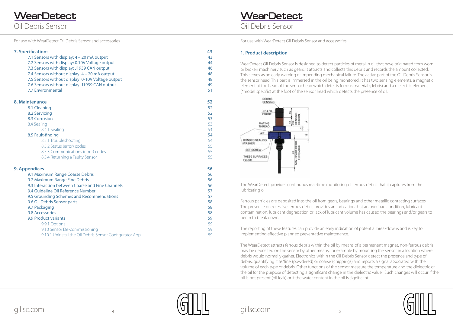<span id="page-2-0"></span>Oil Debris Sensor **WearDetect** 

### Oil Debris Sensor **WearDetect**





#### **1. Product description**

WearDetect Oil Debris Sensor is designed to detect particles of metal in oil that have originated from worn or broken machinery such as gears. It attracts and collects this debris and records the amount collected. This serves as an early warning of impending mechanical failure. The active part of the Oil Debris Sensor is the sensor head. This part is immersed in the oil being monitored. It has two sensing elements, a magnetic element at the head of the sensor head which detects ferrous material (debris) and a dielectric element (\*model specific) at the foot of the sensor head which detects the presence of oil.



The WearDetect provides continuous real-time monitoring of ferrous debris that it captures from the lubricating oil.

Ferrous particles are deposited into the oil from gears, bearings and other metallic contacting surfaces. The presence of excessive ferrous debris provides an indication that an overload condition, lubricant contamination, lubricant degradation or lack of lubricant volume has caused the bearings and/or gears to begin to break down.

The reporting of these features can provide an early indication of potential breakdowns and is key to implementing effective planned preventative maintenance.

- [9.9.1 Optional 59](#page-29-0) [9.10 Sensor De-commissioning 59](#page-29-0)
- [9.10.1 Uninstall the Oil Debris Sensor Configurator App 59](#page-29-0)

The WearDetect attracts ferrous debris within the oil by means of a permanent magnet, non-ferrous debris may be deposited on the sensor by other means, for example by mounting the sensor in a location where debris would normally gather. Electronics within the Oil Debris Sensor detect the presence and type of debris, quantifying it as 'fine' (powdered) or 'coarse' (chippings) and reports a signal associated with the volume of each type of debris. Other functions of the sensor measure the temperature and the dielectric of the oil for the purpose of detecting a significant change in the dielectric value. Such changes will occur if the oil is not present (oil leak) or if the water content in the oil is significant.

| <b>7. Specifications</b>                          | 43 |
|---------------------------------------------------|----|
| 7.1 Sensors with display: 4 – 20 mA output        | 43 |
| 7.2 Sensors with display: 0.10V Voltage output    | 44 |
| 7.3 Sensors with display: J1939 CAN output        | 46 |
| 7.4 Sensors without display: 4 – 20 mA output     | 48 |
| 7.5 Sensors without display: 0-10V Voltage output | 48 |
| 7.6 Sensors without display: J1939 CAN output     | 49 |
| 7.7 Environmental                                 | 51 |

#### **[8. Maintenance 52](#page-26-0)**

| 8.1 Cleaning                                     | 52 |
|--------------------------------------------------|----|
| 8.2 Servicing                                    | 52 |
| 8.3 Corrosion                                    | 53 |
| 8.4 Sealing                                      | 53 |
| 8.4.1 Sealing                                    | 53 |
| 8.5 Fault-finding                                | 54 |
| 8.5.1 Troubleshooting                            | 54 |
| 8.5.2 Status (error) codes                       | 55 |
| 8.5.3 Communications (error) codes               | 55 |
| 8.5.4 Returning a Faulty Sensor                  | 55 |
| <b>9. Appendices</b>                             | 56 |
| 9.1 Maximum Range Coarse Debris                  | 56 |
| 9.2 Maximum Range Fine Debris                    | 56 |
| 9.3 Interaction between Coarse and Fine Channels | 56 |
| 9.4 Guideline Oil Reference Number               | 57 |
| 9.5 Grounding Schemes and Recommendations        | 57 |
| 9.6 Oil Debris Sensor parts                      | 58 |
| 9.7 Packaging                                    | 58 |

### [9.8 Accessories 5](#page-29-0)8

#### [9.9 Product variants 5](#page-29-0)9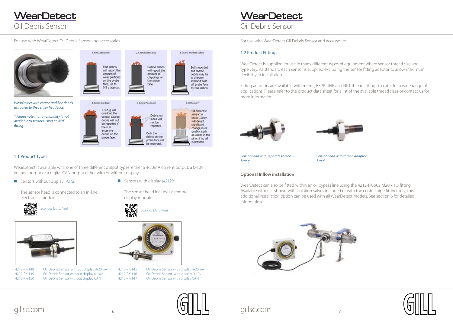## Oil Debris Sensor **WearDetect**





<span id="page-3-0"></span>



The sensor head is connected to an in-line electronics module.





Sensors with display *(4212i)*

The sensor head includes a remote display module.



#### 1.1 Product Types

WearDetect is available with one of three different output types, either a 4-20mA current output, a 0-10V voltage output or a digital CAN output either with or without display.

■ Sensors without display (4212)

4212-PK-148 Oil Debris Sensor without display 4-20mA 4212-PK-149 Oil Debris Sensor without display 0-10v 4212-PK-150 Oil Debris Sensor without display CAN



4212-PK-145 Oil Debris Sensor with display 4-20mA 4212-PK-146 Oil Debris Sensor with display 0-10v 4212-PK-147 Oil Debris Sensor with display CAN

#### 1.2 Product Fittings

WearDetect is supplied for use in many different types of equipment where sensor thread size and type vary. As standard each sensor is supplied excluding the sensor fitting adaptor to allow maximum flexibility at installation.

Fitting adaptors are available with metric, BSPP, UNF and NPT thread fittings to cater for a wide range of applications. Please refer to the product data sheet for a list of the available thread sizes or contact us for more information.





#### **Optional Inflow installation**

WearDetect can also be fitted within an oil bypass line using the 4212-PK-502 M20 x 1.5 fitting. Available either as shown with isolation valves included or with the central pipe fitting only, this additional installation option can be used with all WearDetect models. See section 6 for detailed information.



*Sensor head with separate thread fitting*

*Sensor head with thread adaptor fitted*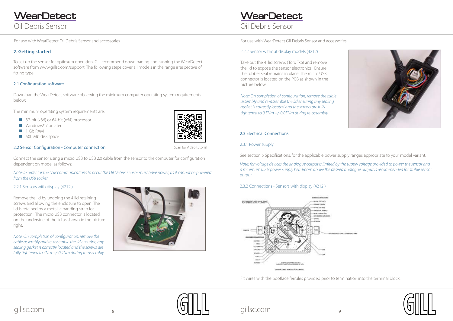<span id="page-4-0"></span>Oil Debris Sensor **WearDetect** 

For use with WearDetect Oil Debris Sensor and accessories For use with WearDetect Oil Debris Sensor and accessories

### Oil Debris Sensor **WearDetect**



#### **2. Getting started**

To set up the sensor for optimum operation, Gill recommend downloading and running the WearDetect software from www.gillsc.com/support. The following steps cover all models in the range irrespective of fitting type.

#### 2.1 Configuration software

Download the WearDetect software observing the minimum computer operating system requirements below:

The minimum operating system requirements are:

- $\Box$  32-bit (x86) or 64-bit (x64) processor
- Windows® 7 or later
- $1$  Gb RAM
- $\Box$  500 Mb disk space

#### 2.2 Sensor Configuration - Computer connection

Connect the sensor using a micro USB to USB 2.0 cable from the sensor to the computer for configuration dependent on model as follows;

*Note: In order for the USB communications to occur the Oil Debris Sensor must have power, as it cannot be powered from the USB socket.*

#### 2.2.1 Sensors with display (4212i)

Remove the lid by undoing the 4 lid retaining screws and allowing the enclosure to open. The lid is retained by a metallic banding strap for protection. The micro USB connector is located on the underside of the lid as shown in the picture right.

*Note: On completion of configuration, remove the cable assembly and re-assemble the lid ensuring any sealing gasket is correctly located and the screws are fully tightened to 4Nm +/-0.4Nm during re-assembly.* 



Scan for Video tutorial





#### 2.2.2 Sensor without display models (4212)

Take out the 4 lid screws (Torx Tx6) and remove the lid to expose the sensor electronics. Ensure the rubber seal remains in place. The micro USB connector is located on the PCB as shown in the picture below.

*Note: On completion of configuration, remove the cable assembly and re-assemble the lid ensuring any sealing gasket is correctly located and the screws are fully tightened to 0.5Nm +/-0.05Nm during re-assembly.* 

#### 2.3 Electrical Connections

2.3.1 Power supply

See section 5 Specifications, for the applicable power supply ranges appropriate to your model variant.

*Note: for voltage devices the analogue output is limited by the supply voltage provided to power the sensor and a minimum 0.7 V power supply headroom above the desired analogue output is recommended for stable sensor output.*

#### 2.3.2 Connections - Sensors with display (4212i)



Fit wires with the bootlace ferrules provided prior to termination into the terminal block.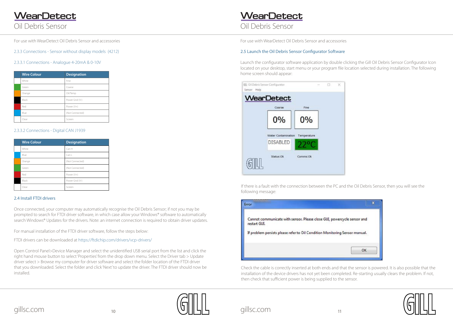## <span id="page-5-0"></span>Oil Debris Sensor **WearDetect**







Oil Debris Sensor

2.3.3 Connections - Sensor without display models (4212)

#### 2.3.3.1 Connections - Analogue 4-20mA & 0-10V

Once connected, your computer may automatically recognise the Oil Debris Sensor; if not you may be prompted to search for FTDI driver software, in which case allow your Windows® software to automatically search Windows® Updates for the drivers. Note: an internet connection is required to obtain driver updates.

| <b>Wire Colour</b> | <b>Designation</b> |
|--------------------|--------------------|
| White              | Fine               |
| Green              | Coarse             |
| Orange             | Oil/Temp           |
| Black              | Power Gnd (V-)     |
| Red                | Power (V+)         |
| Blue               | (Not Connected)    |
| Clear              | Screen             |
|                    |                    |

#### 2.3.3.2 Connections - Digital CAN J1939

| <b>Wire Colour</b> | <b>Designation</b> |
|--------------------|--------------------|
| White              | Can H              |
| Blue               | Can L              |
| Orange             | (Not Connected)    |
| Green              | (Not Connected)    |
| Red                | Power (V+)         |
| Black              | Power Gnd (V-)     |
| Clear              | Screen             |

#### 2.4 Install FTDI drivers

For manual installation of the FTDI driver software, follow the steps below:

FTDI drivers can be downloaded at [https://ftdichip.com/drivers/vcp-drivers/](https://ftdichip.com/drivers/vcp-drivers/ )

Open Control Panel>Device Manager and select the unidentified USB serial port from the list and click the right hand mouse button to select 'Properties' from the drop down menu. Select the Driver tab > Update driver select > Browse my computer for driver software and select the folder location of the FTDI driver that you downloaded. Select the folder and click 'Next' to update the driver. The FTDI driver should now be installed.

## **WearDetect**

#### 2.5 Launch the Oil Debris Sensor Configurator Software

Launch the configurator software application by double clicking the Gill Oil Debris Sensor Configurator Icon located on your desktop, start menu or your program file location selected during installation. The following home screen should appear:



If there is a fault with the connection between the PC and the Oil Debris Sensor, then you will see the following message:



Check the cable is correctly inserted at both ends and that the sensor is powered. It is also possible that the installation of the device drivers has not yet been completed. Re-starting usually clears the problem. If not, then check that sufficient power is being supplied to the sensor.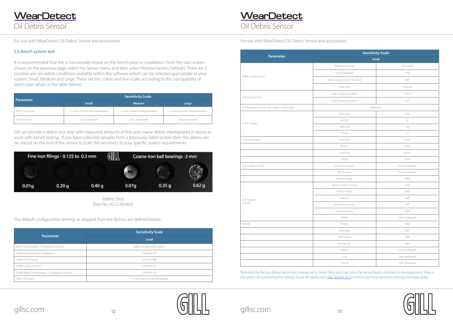<span id="page-6-0"></span>Oil Debris Sensor **WearDetect** 

### Oil Debris Sensor **WearDetect**

#### 2.6 Bench system test

It is recommended that the :is functionally tested on the bench prior to installation. From the start screen shown on the previous page, select the Sensor menu and then select 'Restore Factory Defaults'. There are 3 possible pre-set debris conditions available within the software which can be selected appropriate to your system; Small, Medium and Large. These set the coarse and fine scales according to the size/quantity of debris (see values in the table below).

| Parameter       | <b>Sensitivity Scale</b>          |                                   |                                   |  |
|-----------------|-----------------------------------|-----------------------------------|-----------------------------------|--|
|                 | <b>Small</b>                      | <b>Meduim</b>                     | Large                             |  |
| 100% FSD Coarse | 1 x 3mm Chrome steel ball bearing | 1 x 5mm Chrome steel ball bearing | 4 x 5mm Chrome steel ball bearing |  |
| 100% FSD Fine   | 0.1g ironpowder                   | 0.25g ironpowder                  | 0.5g iron powder                  |  |

Gill can provide a debris test strip with measured amounts of fine and coarse debris impregnated in epoxy to assist with bench testing. If you have collected samples from a previously failed system then this debris can be placed on the end of the sensor to scale the sensitivity to your specific system requirements.



Debris Strip (Part No. 4212-00-063)

The default configuration settings as shipped from the factory are defined below:

| <b>Parameter</b>                                  | <b>Sensitivity Scale</b>          |  |
|---------------------------------------------------|-----------------------------------|--|
|                                                   | <b>Small</b>                      |  |
| Water Contamination / Temperature Channel         | Water Contamination (alarm)       |  |
| Inhibit Outputs During Configuration              | Switched Off                      |  |
| Disable Fine Channel                              | Switched Off                      |  |
| Disable Coarse Channel                            | Switched Off                      |  |
| Disable Water Contamination / Temperature Channel | Switched Off                      |  |
| 100% FSD Course                                   | 1 x 3mm Chrome steel ball bearing |  |

# gillsc.com  $\mathrm{u}_\mathrm{12}$  and  $\mathrm{u}_\mathrm{14}$  gillsc.com  $\mathrm{u}_\mathrm{13}$

*Note that the factory default sensitivity is always set to Small. Note also that, once the sensor head is installed on the equipment, there is the option of customizing the settings to suit the application [\(see Section 3.1\)](#page-7-0) in which case these sensitivity settings no longer apply.*



|                                                  |                               | <b>Sensitivity Scale</b> |
|--------------------------------------------------|-------------------------------|--------------------------|
| Parameter                                        |                               | <b>Small</b>             |
|                                                  | Reference Oll Type            | Mineral Oil              |
|                                                  | No Oil Threshold              | 1010                     |
| Water Contamination                              | Water Contamination Threshold | 985                      |
|                                                  | Filter Time                   | 1 Second                 |
|                                                  | High Temperature Alarm        | $+150 °C$                |
| Temperature Status                               | Low Temperature Alarm         | $-26 °C$                 |
| LED Brightness (Sensor with display models only) |                               | Maximum                  |
|                                                  | Error Level                   | 0.0V                     |
|                                                  | 0% FSD                        | 2V                       |
| 0-10V Outputs                                    | 100% FSD                      | 10V                      |
|                                                  | Inhibit                       | 1V                       |
| 4-20 mA Outputs                                  | Error Level                   | 0 mA                     |
|                                                  | 0% FSD                        | 4 mA                     |
|                                                  | 100% FSD                      | 20 mA                    |
|                                                  | Inhibit                       | 2mA                      |
| Can Outputs (J1939)                              | Function instance             | User Configured          |
|                                                  | ECU Instance                  | User Configured          |
|                                                  | Industry Group                | 0000                     |
|                                                  | Vehicle System Instance       | 0000                     |
|                                                  | Vehicle System                | 0000                     |
| Can Outputs                                      | Function                      | 00ff                     |
| (J1939)                                          | Manufacturer Code             | 07ff                     |
|                                                  | Identity Number               | 0000                     |
|                                                  | NAME                          | User Configured          |
| PGN/ID                                           | Priority                      | 0006                     |
|                                                  | Data Page                     | 0001                     |
|                                                  | PDU Format                    | 00ff                     |
|                                                  | PDU Specific                  | 0000                     |
|                                                  | Address                       | User Configured          |
|                                                  | PGN                           | User Configured          |
|                                                  | CAN ID                        | User Configured          |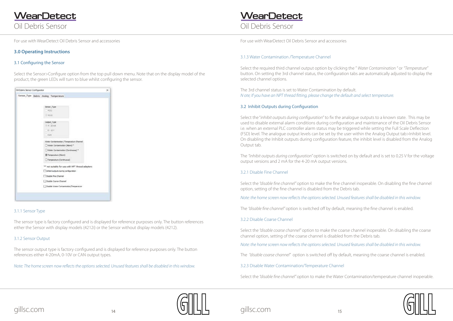<span id="page-7-0"></span>Oil Debris Sensor **WearDetect** 

### Oil Debris Sensor **WearDetect**





#### **3.0 Operating Instructions**

#### 3.1 Configuring the Sensor

Select the Sensor>Configure option from the top pull down menu. Note that on the display model of the product, the green LEDs will turn to blue whilst configuring the sensor.



#### 3.1.1 Sensor Type

The sensor type is factory configured and is displayed for reference purposes only. The button references either the Sensor with display models (4212i) or the Sensor without display models (4212).

#### 3.1.2 Sensor Output

The sensor output type is factory configured and is displayed for reference purposes only. The button references either 4-20mA, 0-10V or CAN output types.

*Note: The home screen now reflects the options selected. Unused features shall be disabled in this window.*

#### 3.1.3 Water Contamination /Temperature Channel

Select the required third channel output option by clicking the " *Water Contamination "* or *"Temperature"*  button. On setting the 3rd channel status, the configuration tabs are automatically adjusted to display the selected channel options.

The 3rd channel status is set to Water Contamination by default. *N ote; If you have an NPT thread fitting, please change the default and select temperature.*

#### 3.2 Inhibit Outputs during Configuration

Select the "*inhibit outputs during configuration"* to fix the analogue outputs to a known state. This may be used to disable external alarm conditions during configuration and maintenance of the Oil Debris Sensor i.e. when an external PLC controller alarm status may be triggered while setting the Full Scale Deflection (FSD) level. The analogue output levels can be set by the user within the Analog Output tab>Inhibit level. On disabling the Inhibit outputs during configuration feature, the inhibit level is disabled from the Analog Output tab.

The *"inhibit outputs during configuration"* option is switched on by default and is set to 0.25 V for the voltage output versions and 2 mA for the 4-20 mA output versions.

#### 3.2.1 Disable Fine Channel

Select the *"disable fine channel"* option to make the fine channel inoperable. On disabling the fine channel option, setting of the fine channel is disabled from the Debris tab.

*Note: the home screen now reflects the options selected. Unused features shall be disabled in this window.*

The *"disable fine channel"* option is switched off by default, meaning the fine channel is enabled.

3.2.2 Disable Coarse Channel

Select the *"disable coarse channel"* option to make the coarse channel inoperable. On disabling the coarse channel option, setting of the coarse channel is disabled from the Debris tab.

*Note: the home screen now reflects the options selected. Unused features shall be disabled in this window.*

The *"disable coarse channel"* option is switched off by default, meaning the coarse channel is enabled.

3.2.3 Disable Water Contamination/Temperature Channel

Select the *"disable fine channel"* option to make the Water Contamination/temperature channel inoperable.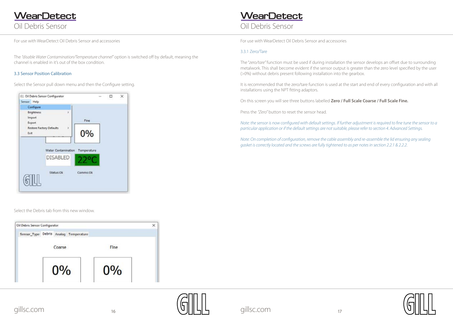<span id="page-8-0"></span>Oil Debris Sensor **WearDetect** 

### Oil Debris Sensor **WearDetect**





The *"disable Water Contamination/Temperature channel"* option is switched off by default, meaning the channel is enabled in it's out of the box condition.

#### 3.3 Sensor Position Calibration

Select the Sensor pull down menu and then the Configure setting.

| Configure                             |                                       |          |  |
|---------------------------------------|---------------------------------------|----------|--|
| <b>Brightness</b><br>Import<br>Export | s                                     | Fine     |  |
| Exit                                  | <b>Restore Factory Defaults</b><br>r. | 0%       |  |
|                                       | Water Contamination Temperature       |          |  |
|                                       | <b>DISABLED</b>                       |          |  |
|                                       | Status: Ok                            | Comms:Ok |  |

Select the Debris tab from this new window.

| Oil Debris Sensor Configurator |       | ×                  |
|--------------------------------|-------|--------------------|
|                                |       |                    |
| Coarse                         | Fine  |                    |
| $0\%$                          | $0\%$ |                    |
|                                |       | Analog Temperature |

#### 3.3.1 Zero/Tare

The "*zero/tare"* function must be used if during installation the sensor develops an offset due to surrounding metalwork. This shall become evident if the sensor output is greater than the zero level specified by the user (>0%) without debris present following installation into the gearbox.

It is recommended that the zero/tare function is used at the start and end of every configuration and with all installations using the NPT fitting adaptors.

On this screen you will see three buttons labelled **Zero / Full Scale Coarse / Full Scale Fine.**

Press the *"Zero"* button to reset the sensor head.

*Note: the sensor is now configured with default settings. If further adjustment is required to fine tune the sensor to a particular application or if the default settings are not suitable, please refer to section 4. Advanced Settings.*

*Note: On completion of configuration, remove the cable assembly and re-assemble the lid ensuring any sealing gasket is correctly located and the screws are fully tightened to as per notes in section 2.2.1 & 2.2.2.*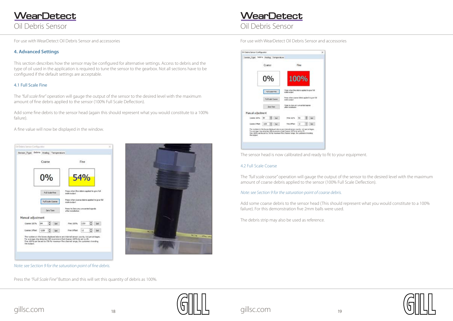<span id="page-9-0"></span>Oil Debris Sensor **WearDetect** 

### Oil Debris Sensor **WearDetect**

Oil Dalink Service Configuration Senser\_Type Debris Analog Temperature Coarse Fine  $0%$ 100% **NESSETIN** course debris applied to give full Full Scale Course Proto to Zoro any unnumbed ognose Zeic Tart Manual adjustment Course 200% B4 2 Set President B3 2 Set Not : 199 ... Set Fine Office: 1-2  $20$ The munders in the bound displayed above are internal sensor counts, not percentage<br>The average chan detected with response of their Course, 1974s be set to 25, then 2005s can be only a 200 for<br>The 2005s can be set to 750





### **4. Advanced Settings**

This section describes how the sensor may be configured for alternative settings. Access to debris and the type of oil used in the application is required to tune the sensor to the gearbox. Not all sections have to be configured if the default settings are acceptable.

#### 4.1 Full Scale Fine

The *"full scale fine"* operation will gauge the output of the sensor to the desired level with the maximum amount of fine debris applied to the sensor (100% Full Scale Deflection).

Add some fine debris to the sensor head (again this should represent what you would constitute to a 100% failure).

A fine value will now be displayed in the window.

|                   | Coarse |                          |      |                                                                                                                                                                                                                                                       | Fine       |   |     |
|-------------------|--------|--------------------------|------|-------------------------------------------------------------------------------------------------------------------------------------------------------------------------------------------------------------------------------------------------------|------------|---|-----|
|                   |        |                          |      |                                                                                                                                                                                                                                                       |            |   |     |
|                   | 0%     |                          |      |                                                                                                                                                                                                                                                       | <b>54%</b> |   |     |
|                   |        | Full Scale Pine          |      | Press vihen fine debris applied to give full<br>scale output.                                                                                                                                                                                         |            |   |     |
|                   |        | <b>Full Scale Coarse</b> |      | Prece when coarge debric applied to give full<br>hopke algost                                                                                                                                                                                         |            |   |     |
|                   |        | Zera Tare                |      | Press: to Zero any univarited signals<br>after installation.                                                                                                                                                                                          |            |   |     |
| Manual adjustment |        |                          |      |                                                                                                                                                                                                                                                       |            |   |     |
| Coarse 100%       | 84     |                          | Set  | Fine 100%                                                                                                                                                                                                                                             | 150        |   | Set |
| Coarse Offiet     | $-199$ |                          | Set: | Fine Offset                                                                                                                                                                                                                                           | Нž         | ٥ | Set |
| the output.       |        |                          |      | The numbers in the boxes displayed above are internal sensor counts, not percentages.<br>Pur average chip detection (id recommend that Coarse 100% be set to 25.<br>Fire 100 high be set to 755 for maximum fire channel ange, for customers trending |            |   |     |



Press the *"Full Scale Fine"* Button and this will set this quantity of debris as 100%.

*Note: see Section 9 for the saturation point of fine debris.*

The sensor head is now calibrated and ready to fit to your equipment.

#### 4.2 Full Scale Coarse

The *"full scale coarse"* operation will gauge the output of the sensor to the desired level with the maximum amount of coarse debris applied to the sensor (100% Full Scale Deflection).

Add some coarse debris to the sensor head (This should represent what you would constitute to a 100% failure). For this demonstration five 2mm balls were used.

The debris strip may also be used as reference.

#### *Note: see Section 9 for the saturation point of coarse debris.*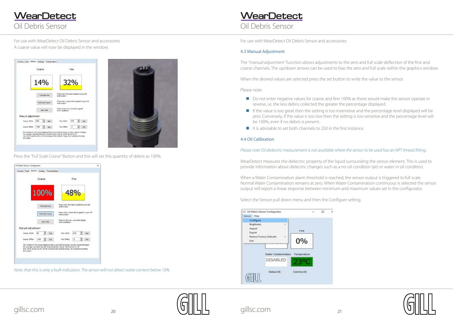### <span id="page-10-0"></span>Oil Debris Sensor **WearDetect**

### Oil Debris Sensor **WearDetect**

For use with WearDetect Oil Debris Sensor and accessories For use with WearDetect Oil Debris Sensor and accessories A coarse value will now be displayed in the window.







Press the *"Full Scale Coarse"* Button and this will set this quantity of debris as 100%.



*Note: that this is only a bulk indication. The sensor will not detect water content below 10%.* 

#### 4.3 Manual Adjustment

The *"manual adjustment"* function allows adjustments to the zero and full scale deflection of the fine and coarse channels. The up/down arrows can be used to bias the zero and full scale within the graphics window.

When the desired values are selected press the set button to write the value to the sensor.

Please note:

- Do not enter negative values for coarse and fine 100% as these would make the sensor operate in reverse, i.e. the less debris collected the greater the percentage displayed.
- $\blacksquare$  If the value is too great then the setting is too insensitive and the percentage level displayed will be be 100%, even if no debris is present.
- $\blacksquare$  It is advisable to set both channels to 250 in the first instance.

zero. Conversely, if the value is too low then the setting is too sensitive and the percentage level will



#### 4.4 Oil Calibration

#### *Please note Oil dielectric measurement is not available where the sensor to be used has an NPT thread fitting.*

WearDetect measures the dielectric property of the liquid surrounding the sensor element. This is used to provide information about dielectric changes such as a no-oil condition (air) or water in oil condition.

When a Water Contamination alarm threshold is reached, the sensor output is triggered to full scale. Normal Water Contamination remains at zero. When Water Contamination continuous is selected the sensor output will report a linear response between minimum and maximum values set in the configurator.

Select the Sensor pull down menu and then the Configure setting.

| Configure<br><b>Brightness</b><br>Import |                                |             |  |
|------------------------------------------|--------------------------------|-------------|--|
| Export                                   |                                | Fine        |  |
| Exit.                                    | Restore Factory Defaults<br>O) | 0%          |  |
|                                          | <b>Water Contamination</b>     | Temperature |  |
|                                          | <b>DISABLED</b>                |             |  |
|                                          | Status:Ok                      | Comms: Ok   |  |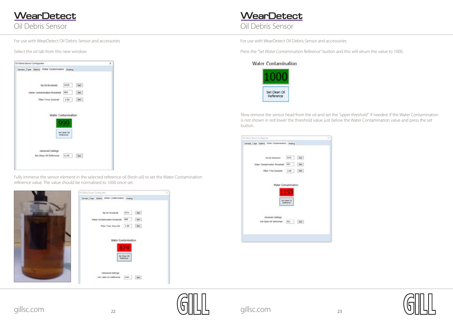### Oil Debris Sensor **WearDetect**

For use with WearDetect Oil Debris Sensor and accessories For use with WearDetect Oil Debris Sensor and accessories







Select the oil tab from this new window.

| Oil Debris Sensor Configurator                |                            |            | × |
|-----------------------------------------------|----------------------------|------------|---|
| Sensor_Type Debris Water Centemination Analog |                            |            |   |
| No Oil threshold                              | 1015                       | Set:       |   |
| Water Contamination threshold                 | 985                        | <b>Set</b> |   |
| Filter Time Secondo                           | 1.00                       | Set        |   |
| Water Contamination                           |                            |            |   |
|                                               | Set Clean Oil<br>Reference |            |   |

Fully immerse the sensor element in the selected reference oil (fresh oil) to set the Water Contamination reference value. The value should be normalised to 1000 once set.



Press the *"Set Water Contamination Reference"* button and this will return the value to 1000.

#### **Water Contamination**



Now remove the sensor head from the oil and set the *"upper threshold"* if needed. If the Water Contamination is not shown in red lower the threshold value just below the Water Contamination value and press the set button.

| 01 Deivis Semua Carefiguation                |                |       |  |
|----------------------------------------------|----------------|-------|--|
| Sensor_Type Dabng Water Contensestion Analog |                |       |  |
|                                              |                |       |  |
| No Oil threshold                             | 1015           | Seil  |  |
| Water Contamination throphold                | 583            | Set   |  |
| Filter Time Seconds                          | 1.00           | Sell. |  |
|                                              |                |       |  |
| Water Contamination                          |                |       |  |
|                                              |                |       |  |
|                                              | <b>College</b> |       |  |
|                                              | SHI CHAN DE    |       |  |
|                                              | listments      |       |  |
|                                              |                |       |  |
| Advanced Sattings                            |                |       |  |
| Set Cloan Oil Reference                      | 992            | Set   |  |
|                                              |                |       |  |
|                                              |                |       |  |
|                                              |                |       |  |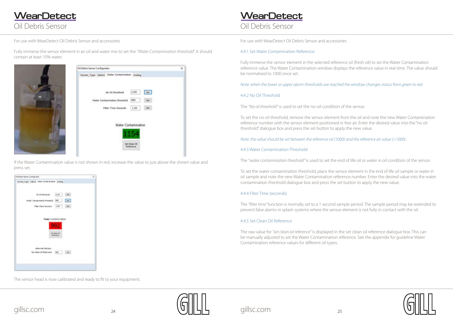## Oil Debris Sensor **WearDetect**





<span id="page-12-0"></span>

Fully immerse the sensor element in an oil and water mix to set the *"Water Contamination threshold*". It should contain at least 10% water.



| <b>Gil Debris Sensor Configurator</b>         | $\times$ |
|-----------------------------------------------|----------|
| Sensor_Type Debris Water Contamination Analog |          |
| 1155<br>Set-<br>No Oil threshold              |          |
| 985<br>Set.<br>Water Contamination threshold  |          |
| Filter Time Seconds<br>1.00<br>Set:           |          |
| 2019-19 2019 - 대표 : 2018-2019                 |          |
| Water Contamination                           |          |
| Set Clean Oil<br>lleference                   |          |

If the Water Contamination value is not shown in red, increase the value to just above the shown value and press set.



The sensor head is now calibrated and ready to fit to your equipment.

### 4.4.1 Set Water Contamination Reference

Fully immerse the sensor element in the selected reference oil (fresh oil) to set the Water Contamination reference value. The Water Contamination window displays the reference value in real time. The value should be normalised to 1000 once set.

*Note: when the lower or upper alarm thresholds are reached the window changes status from green to red.*

### 4.4.2 No Oil Threshold

The *"No oil threshold"* is used to set the no-oil condition of the sensor.

To set the no oil threshold, remove the sensor element from the oil and note the new Water Contamination reference number with the sensor element positioned in free air. Enter the desired value into the "no oil threshold" dialogue box and press the set button to apply the new value.

*Note: the value should be set between the reference oil (1000) and the reference air value (>1000).*

4.4.3 Water Contamination Threshold

The *"water contamination threshold"* is used to set the end of life oil or water in oil condition of the sensor.

To set the water contamination threshold, place the sensor element in the end of life oil sample or water in oil sample and note the new Water Contamination reference number. Enter the desired value into the water contamination threshold dialogue box and press the set button to apply the new value.

#### 4.4.4 Filter Time (seconds)

The *"filter time"* function is normally set to a 1 second sample period. The sample period may be extended to prevent false alarms in splash systems where the sensor element is not fully in contact with the oil.

#### 4.4.5 Set Clean Oil Reference

The raw value for *"set clean oil reference"* is displayed in the set clean oil reference dialogue box. This can be manually adjusted to set the Water Contamination reference. See the appendix for guideline Water Contamination reference values for different oil types.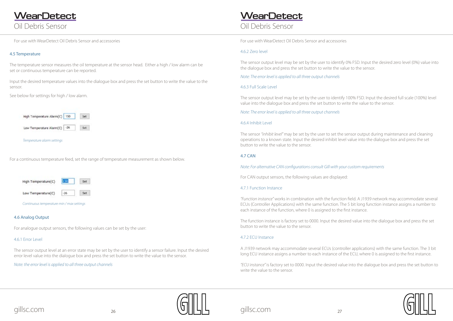<span id="page-13-0"></span>Oil Debris Sensor **WearDetect** 

### Oil Debris Sensor **WearDetect**





#### 4.6 Analog Output

For analogue output sensors, the following values can be set by the user:

#### 4.6.1 Error Level

The sensor output level at an error state may be set by the user to identify a sensor failure. Input the desired error level value into the dialogue box and press the set button to write the value to the sensor.

*Note: the error level is applied to all three output channels*

#### 4.5 Temperature

The temperature sensor measures the oil temperature at the sensor head. Either a high / low alarm can be set or continuous temperature can be reported.

Input the desired temperature values into the dialogue box and press the set button to write the value to the sensor.

See below for settings for high / low alarm.

For a continuous temperature feed, set the range of temperature measurement as shown below.



#### 4.6.2 Zero level

The sensor output level may be set by the user to identify 0% FSD. Input the desired zero level (0%) value into the dialogue box and press the set button to write the value to the sensor.

*Note: The error level is applied to all three output channels*

#### 4.6.3 Full Scale Level

The sensor output level may be set by the user to identify 100% FSD. Input the desired full scale (100%) level value into the dialogue box and press the set button to write the value to the sensor.

*Note: The error level is applied to all three output channels*

#### 4.6.4 Inhibit Level

The sensor *"inhibit level"* may be set by the user to set the sensor output during maintenance and cleaning operations to a known state. Input the desired inhibit level value into the dialogue box and press the set button to write the value to the sensor.

#### 4.7 CAN

#### *Note: For alternative CAN configurations consult Gill with your custom requirements*

For CAN output sensors, the following values are displayed:

#### 4.7.1 Function Instance

*"Function instance"* works in combination with the function field. A J1939 network may accommodate several ECUs (Controller Applications) with the same function. The 5 bit long function instance assigns a number to each instance of the function, where 0 is assigned to the first instance.

The function instance is factory set to 0000. Input the desired value into the dialogue box and press the set button to write the value to the sensor.

#### 4.7.2 ECU Instance

A J1939 network may accommodate several ECUs (controller applications) with the same function. The 3 bit long ECU instance assigns a number to each instance of the ECU, where 0 is assigned to the first instance.

*"ECU instance"* is factory set to 0000. Input the desired value into the dialogue box and press the set button to write the value to the sensor.

*Continuous temperature min / max settings*

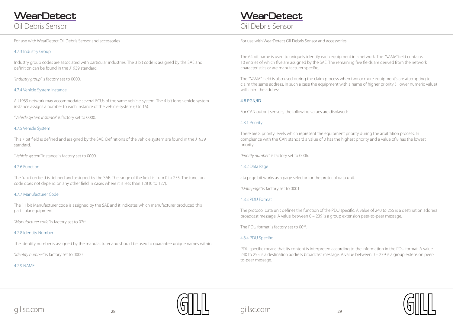### Oil Debris Sensor **WearDetect**





### <span id="page-14-0"></span>4.7.3 Industry Group

Industry group codes are associated with particular industries. The 3 bit code is assigned by the SAE and definition can be found in the J1939 standard.

*"Industry group"* is factory set to 0000.

#### 4.7.4 Vehicle System Instance

A J1939 network may accommodate several ECUs of the same vehicle system. The 4 bit long vehicle system instance assigns a number to each instance of the vehicle system (0 to 15).

*"Vehicle system instance"* is factory set to 0000.

#### 4.7.5 Vehicle System

This 7 bit field is defined and assigned by the SAE. Definitions of the vehicle system are found in the J1939 standard.

*"Vehicle system"* instance is factory set to 0000.

#### 4.7.6 Function

The function field is defined and assigned by the SAE. The range of the field is from 0 to 255. The function code does not depend on any other field in cases where it is less than 128 (0 to 127).

#### 4.7.7 Manufacturer Code

The 11 bit Manufacturer code is assigned by the SAE and it indicates which manufacturer produced this particular equipment.

*"Manufacturer code"* is factory set to 07ff.

#### 4.7.8 Identity Number

The identity number is assigned by the manufacturer and should be used to guarantee unique names within

*"Identity number"* is factory set to 0000.

4.7.9 NAME

PDU specific means that its content is interpreted according to the information in the PDU format. A value 240 to 255 is a destination address broadcast message. A value between 0 – 239 is a group extension peerto-peer message.

The 64 bit name is used to uniquely identify each equipment in a network. The *"NAME"* field contains 10 entries of which five are assigned by the SAE. The remaining five fields are derived from the network characteristics or are manufacturer specific.

The *"NAME"* field is also used during the claim process when two or more equipment's are attempting to claim the same address. In such a case the equipment with a name of higher priority (=lower numeric value) will claim the address.

#### 4.8 PGN/ID

For CAN output sensors, the following values are displayed:

#### 4.8.1 Priority

There are 8 priority levels which represent the equipment priority during the arbitration process. In compliance with the CAN standard a value of 0 has the highest priority and a value of 8 has the lowest priority.

*"Priority number"* is factory set to 0006.

#### 4.8.2 Data Page

ata page bit works as a page selector for the protocol data unit.

*"Data page"* is factory set to 0001.

#### 4.8.3 PDU Format

The protocol data unit defines the function of the PDU specific. A value of 240 to 255 is a destination address broadcast message. A value between 0 – 239 is a group extension peer-to-peer message.

The PDU format is factory set to 00ff.

#### 4.8.4 PDU Specific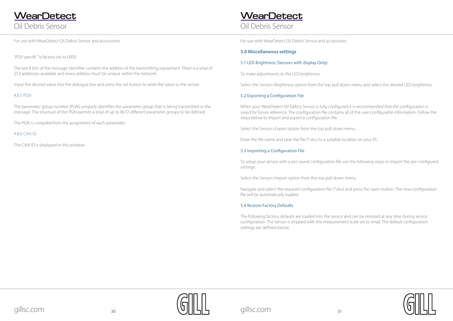### Oil Debris Sensor **WearDetect**





<span id="page-15-0"></span>*"PDU specific"* is factory set to 0000.

The last 8 bits of the message identifier contains the address of the transmitting equipment. There is a total of 253 addresses available and every address must be unique within the network.

Input the desired value into the dialogue box and press the set button to write the value to the sensor.

#### 4.8.5 PGN

The parameter group number (PGN) uniquely identifies the parameter group that is being transmitted in the message. The structure of the PGN permits a total of up to 8672 different parameter groups to be defined.

The PGN is compiled from the assignment of each parameter.

#### 4.8.6 CAN ID

The CAN ID is displayed in this window.

#### **5.0 Miscellaneous settings**

#### 5.1 LED Brightness (Sensors with display Only)

To make adjustments to the LED brightness:

Select the Sensor>Brightness option from the top pull down menu and select the desired LED brightness.

#### 5.2 Exporting a Configuration File

When your WearDetect Oil Debris Sensor is fully configured it is recommended that the configuration is saved for future reference. The configuration file contains all of the user configurable information. Follow the steps below to import and export a configuration file.

Select the Sensor>Export option from the top pull down menu.

Enter the file name and save the file (\*.dsc) to a suitable location on your PC.

#### 5.3 Importing a Configuration File

To setup your sensor with a pre-saved configuration file use the following steps to import the pre-configured settings:

Select the Sensor>Import option from the top pull down menu.

Navigate and select the required configuration file (\*.dsc) and press the open button. The new configuration file will be automatically loaded.

#### 5.4 Restore Factory Defaults

The following factory defaults are loaded into the sensor and can be restored at any time during sensor configuration. The sensor is shipped with the measurement scale set to small. The default configuration settings are defined below: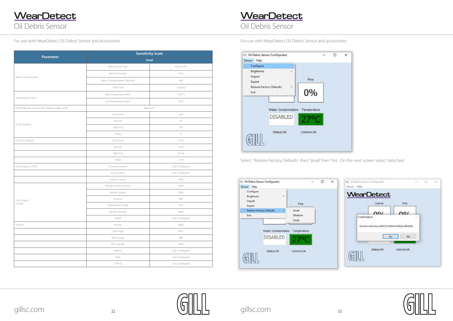Oil Debris Sensor **WearDetect** 

## Oil Debris Sensor **WearDetect**

For use with WearDetect Oil Debris Sensor and accessories For use with WearDetect Oil Debris Sensor and accessories

| Configure                                    |                                 |       |  |
|----------------------------------------------|---------------------------------|-------|--|
| <b>Brightness</b><br><b>Import</b><br>Export | Þ                               | Fine. |  |
| <b>Restore Factory Defaults</b><br>Exit      | 5                               | 0%    |  |
|                                              | Water Contamination Temperature |       |  |
|                                              | <b>DISABLED</b>                 |       |  |
|                                              |                                 |       |  |







Select 'Restore Factory Defaults' then 'Small' then 'Yes'. On the next screen select 'zero/tare'.

| <b>EL: Oil Debris Sensor Configurator</b><br>Sensor Help     |                           | □ | × | 图 Oil Debris Sensor Configurator<br>Sensor Help |                                                    |                            | $\sim$ | $\Box$ | -30 |
|--------------------------------------------------------------|---------------------------|---|---|-------------------------------------------------|----------------------------------------------------|----------------------------|--------|--------|-----|
| Configure<br>Brightness<br>$\rightarrow$<br>Import<br>Export | <b>Fine</b>               |   |   |                                                 | WearDetect<br>Coarse                               | Fine                       |        |        |     |
| <b>Restore Factory Defaults</b><br>Exit                      | Small<br>Medium<br>Large. |   |   | Confirmation                                    | 00I                                                | $\Omega$                   |        |        |     |
| Water Contamination                                          | Temperature               |   |   |                                                 | Are you sure you want to restore factory defaults. |                            |        |        |     |
| <b>DISABLED</b>                                              |                           |   |   |                                                 | Tes.                                               | No                         |        |        |     |
| Status:Ok                                                    | Comms:Ok                  |   |   |                                                 | Status:Ok<br>54316603433                           | Comms: Ok<br>sus transport |        |        |     |

|                                                  |                               | <b>Sensitivity Scale</b> |  |  |  |  |
|--------------------------------------------------|-------------------------------|--------------------------|--|--|--|--|
| <b>Parameter</b>                                 |                               | Small                    |  |  |  |  |
|                                                  | Reference Oll Type            | Mineral Oil              |  |  |  |  |
|                                                  | No Oil Threshold              | 1010                     |  |  |  |  |
| Water Contamination                              | Water Contamination Threshold | 985                      |  |  |  |  |
|                                                  | Filter Time                   | 1 Second                 |  |  |  |  |
|                                                  | High Temperature Alarm        | $+150 °C$                |  |  |  |  |
| Temperature Status                               | Low Temperature Alarm         | $-26^{\circ}C$           |  |  |  |  |
| LED Brightness (Sensor with display models only) |                               | Maximum                  |  |  |  |  |
|                                                  | Error Level                   | 0.0V                     |  |  |  |  |
|                                                  | 0% FSD                        | $2\vee$                  |  |  |  |  |
| 0-10V Outputs                                    | 100% FSD                      | <b>10V</b>               |  |  |  |  |
|                                                  | Inhibit                       | $1\vee$                  |  |  |  |  |
| 4-20 mA Outputs                                  | Error Level                   | 0 mA                     |  |  |  |  |
|                                                  | 0% FSD                        | 4 mA                     |  |  |  |  |
|                                                  | 100% FSD                      | 20 mA                    |  |  |  |  |
|                                                  | Inhibit                       | 2 mA                     |  |  |  |  |
| Can Outputs (J1939)                              | Function instance             | User Configured          |  |  |  |  |
|                                                  | ECU Instance                  | User Configured          |  |  |  |  |
|                                                  | Industry Group                | 0000                     |  |  |  |  |
|                                                  | Vehicle System Instance       | 0000                     |  |  |  |  |
|                                                  | Vehicle System                | 0000                     |  |  |  |  |
| Can Outputs                                      | Function                      | 00ff                     |  |  |  |  |
| (J1939)                                          | Manufacturer Code             | 07ff                     |  |  |  |  |
|                                                  | Identity Number               | 0000                     |  |  |  |  |
|                                                  | NAME                          | User Configured          |  |  |  |  |
| $PGN/IP$                                         | Priority                      | 0006                     |  |  |  |  |
|                                                  | Data Page                     | 0001                     |  |  |  |  |
|                                                  | PDU Format                    | 00ff                     |  |  |  |  |
|                                                  | PDU Specific                  | 0000                     |  |  |  |  |
|                                                  | Address                       | User Configured          |  |  |  |  |
|                                                  | PGN                           | User Configured          |  |  |  |  |
|                                                  | CAN ID                        | User Configured          |  |  |  |  |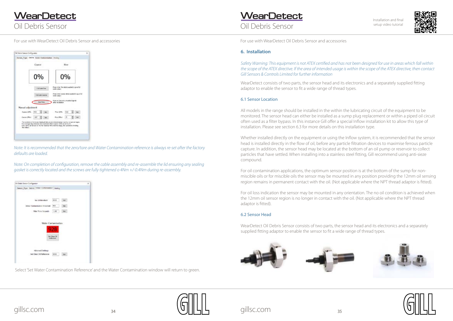|                   | Coane                    |          |                                                                                                                                                                                                                                                                 | Fine                        |      |  |
|-------------------|--------------------------|----------|-----------------------------------------------------------------------------------------------------------------------------------------------------------------------------------------------------------------------------------------------------------------|-----------------------------|------|--|
|                   | 0%                       |          |                                                                                                                                                                                                                                                                 | 0%                          |      |  |
|                   | Full Society Planet      |          | Press when the debris anched to give full<br><b>SUMM PURALLY AND COMMON</b>                                                                                                                                                                                     |                             |      |  |
|                   | <b>H.E. Linky Casine</b> |          | Press when course deters sculind to gue 1.4.<br><b>SING NAMES</b>                                                                                                                                                                                               |                             |      |  |
|                   | <b>Jan Tan</b>           |          | Prest to Jane any unwarted rightilt<br>after incidation                                                                                                                                                                                                         | <b>Controller Materials</b> |      |  |
| Nanual adjustment |                          |          |                                                                                                                                                                                                                                                                 |                             |      |  |
| Dagus 198%        | <b>HIE</b>               | Set.     | This 100%                                                                                                                                                                                                                                                       | tia                         | Sct. |  |
| Caurus Officii    | $-187$                   | $-2$ el. | <b>Print Office!</b>                                                                                                                                                                                                                                            | $-2$                        |      |  |
| the output.       |                          |          | The sustines in the former displayed about an exclusive below counts, not precent leges.<br>For everyon that determine GE minutes and that Course 130% he set to 21.<br>nive coms de la set to mot fair nausius fire charine casps, far customers trending<br>. |                             |      |  |

<span id="page-17-0"></span>Oil Debris Sensor **WearDetect** 

### Oil Debris Sensor **WearDetect**



*Note: It is recommended that the zero/tare and Water Contamination reference is always re-set after the factory defaults are loaded.*

*Note: On completion of configuration, remove the cable assembly and re-assemble the lid ensuring any sealing gasket is correctly located and the screws are fully tightened o 4Nm +/-0.4Nm during re-assembly.*



Select 'Set Water Contamination Reference' and the Water Contamination window will return to green.

#### **6. Installation**

*Safety Warning: This equipment is not ATEX certified and has not been designed for use in areas which fall within the scope of the ATEX directive. If the area of intended usage is within the scope of the ATEX directive, then contact Gill Sensors & Controls Limited for further information*

WearDetect consists of two parts, the sensor head and its electronics and a separately supplied fitting adaptor to enable the sensor to fit a wide range of thread types.

#### 6.1 Sensor Location

All models in the range should be installed in the within the lubricating circuit of the equipment to be monitored. The sensor head can either be installed as a sump plug replacement or within a piped oil circuit often used as a filter bypass. In this instance Gill offer a special Inflow installation kit to allow this type of installation. Please see section 6.3 for more details on this installation type.

Whether installed directly on the equipment or using the Inflow system, it is recommended that the sensor head is installed directly in the flow of oil, before any particle filtration devices to maximise ferrous particle capture. In addition, the sensor head may be located at the bottom of an oil pump or reservoir to collect particles that have settled. When installing into a stainless steel fitting, Gill recommend using anti-sieze compound.

For oil contamination applications, the optimum sensor position is at the bottom of the sump for nonmiscible oils or for miscible oils the sensor may be mounted in any position providing the 12mm oil sensing region remains in permanent contact with the oil. (Not applicable where the NPT thread adaptor is fitted).

For oil loss indication the sensor may be mounted in any orientation. The no oil condition is achieved when the 12mm oil sensor region is no longer in contact with the oil. (Not applicable where the NPT thread adaptor is fitted).

#### 6.2 Sensor Head

WearDetect Oil Debris Sensor consists of two parts, the sensor head and its electronics and a separately supplied fitting adaptor to enable the sensor to fit a wide range of thread types.







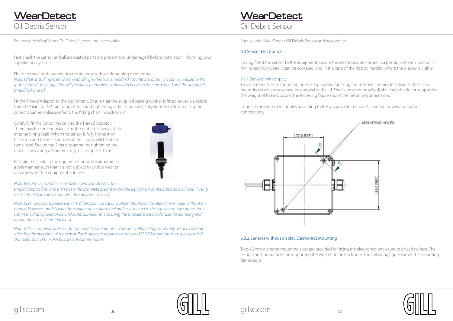## <span id="page-18-0"></span>Oil Debris Sensor **WearDetect**

## Oil Debris Sensor **WearDetect**



First check the sensor and all associated parts are present and undamaged before installation, informing your supplier of any issues.

Fit up to three grub screws into the adaptor without tightening them home. *Note: When installing in environments of high vibration, threadlock (Loctite 270 or similar) can be applied to the grub screws at this stage. This will provide a permanent connection between the sensor head and the adaptor if threadlock is used.*

Fit the Thread Adaptor to the equipment. Ensure that the supplied sealing washer is fitted or use a suitable thread sealant for NPT adaptors. After hand tightening as far as possible, fully tighten to 50Nm using the correct spanner. (please refer to the fitting chart in section 6.4)

Carefully fit the Sensor Probe into the Thread Adaptor: There may be some resistance as the probe pushes past the internal o-ring seals. When the sensor is fully home it will hit a stop and the rear surfaces of the 2 parts will be at the same level. Secure the 2 parts together by tightening the grub screws using a 2mm hex key to a torque of 1Nm.

Restrain the cable to the equipment or similar structure in a safe manner such that it is not subject to undue wear or damage whist the equipment is in use.

*Note: It is also acceptable to install the sensor probe into the* 

*thread adaptor first, and then screw the complete assembly into the equipment as described above (Note. if using this method take care to not twist the cable excessively.)*

*Note: Each sensor is supplied with 3m of sensor head cabling which should not be altered on models without the display. However, models with the display can be shortened and re-attached to the screw terminal connections within the display electronics enclosure. Gill recommend using the supplied bootlace ferrules for crimping and terminating to the terminal block.*

*Note: Gill recommend cable lengths are kept to a minimum to prevent voltage drops that may occur as a result affecting the operation of the sensor. Particular care should be made to J1939 CAN variants to ensure electrical characteristics of the CAN bus are not compromised.*

### 6.3 Sensor Electronics

Having fitted the sensor to the equipment, secure the electronics enclosure in a position where vibration is minimised but where it can be accessed, and in the case of the display models, where the display is visible.

### 6.3.1 Sensors with display

Two diameter 6.4mm mounting holes are provided for fixing the sensor elctronics to a fixed surface. The mounting holes are accessed by removal of the lid. The fixings (not provided) shall be suitable for supporting the weight of the enclosure. The following figure shows the mounting dimensions:

Connect the sensor electronics according to the guidance in section 2, covering power and output connections.



#### 6.3.2 Sensors without display Electronics Mounting

Two 4.2mm diameter mounting slots are provided for fixing the electronics enclosure to a fixed surface. The fixings must be suitable for supporting the weight of the enclosure. The following figure shows the mounting dimensions:



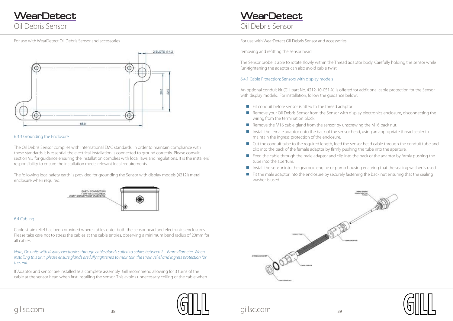

<span id="page-19-0"></span>Oil Debris Sensor **WearDetect** 

## Oil Debris Sensor **WearDetect**







#### 6.3.3 Grounding the Enclosure

The Oil Debris Sensor complies with International EMC standards. In order to maintain compliance with these standards it is essential the electrical installation is connected to ground correctly. Please consult section 9.5 for guidance ensuring the installation complies with local laws and regulations. It is the installers' responsibility to ensure the installation meets relevant local requirements.

The following local safety earth is provided for grounding the Sensor with display models (4212i) metal enclosure when required.



#### 6.4 Cabling

Cable strain relief has been provided where cables enter both the sensor head and electronics enclosures. Please take care not to stress the cables at the cable entries, observing a minimum bend radius of 20mm for all cables.

*Note; On units with display electronics through cable glands suited to cables between 2 – 6mm diameter. When installing this unit, please ensure glands are fully tightened to maintain the strain relief and ingress protection for the unit.*

If Adaptor and sensor are installed as a complete assembly Gill recommend allowing for 3 turns of the cable at the sensor head when first installing the sensor. This avoids unnecessary coiling of the cable when

- $\blacksquare$  Fit conduit before sensor is fitted to the thread adaptor
- Remove your Oil Debris Sensor from the Sensor with display electronics enclosure, disconnecting the wiring from the termination block.
- Remove the M16 cable gland from the sensor by unscrewing the M16 back nut.
- Install the female adaptor onto the back of the sensor head, using an appropriate thread sealer to maintain the ingress protection of the enclosure.
- Cut the conduit tube to the required length, feed the sensor head cable through the conduit tube and clip into the back of the female adaptor by firmly pushing the tube into the aperture.
- Feed the cable through the male adaptor and clip into the back of the adaptor by firmly pushing the tube into the aperture.
- Install the sensor into the gearbox, engine or pump housing ensuring that the sealing washer is used.
- $\blacksquare$  Fit the male adaptor into the enclosure by securely fastening the back nut ensuring that the sealing washer is used.



removing and refitting the sensor head.

The Sensor probe is able to rotate slowly within the Thread adaptor body. Carefully holding the sensor while (un)tightening the adaptor can also avoid cable twist

### 6.4.1 Cable Protection: Sensors with display models

An optional conduit kit (Gill part No. 4212-10-051-X) is offered for additional cable protection for the Sensor with display models. For installation, follow the guidance below: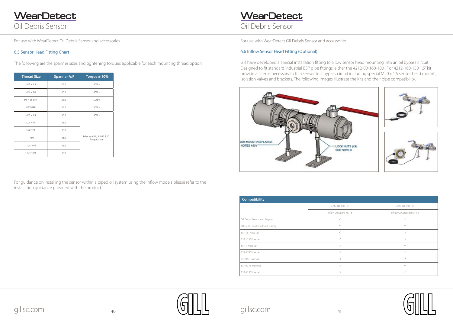<span id="page-20-0"></span>Oil Debris Sensor **WearDetect** 

## Oil Debris Sensor **WearDetect**









#### 6.5 Sensor Head Fitting Chart

The following are the spanner sizes and tightening torques applicable for each mounting thread option:

| <b>Thread Size</b> | <b>Spanner A/F</b> | Torque $\pm$ 10%                           |
|--------------------|--------------------|--------------------------------------------|
| M22 X 1.5          | 36.0               | 50Nm                                       |
| M24 X 2.0          | 36.0               | 50Nm                                       |
| 3/4'X 16 UNF       | 36.0               | 50Nm                                       |
| $1/2$ $BSPP$       | 36.0               | 50Nm                                       |
| M20 X 1.5          | 36.0               | 50Nm                                       |
| $1/2$ " NPT        | 36.0               |                                            |
| $3/4''$ NPT        | 36.0               |                                            |
| 1"NPT              | 36.0               | Refer to ANSI/ ASME B.20.1<br>for guidance |
| 11/4"NPT           | 36.0               |                                            |
| 1 1/2" NPT         | 36.0               |                                            |

For guidance on installing the sensor within a piped oil system using the Inflow models please refer to the installation guidance provided with the product.

#### 6.6 Inflow Sensor Head Fitting (Optional)

Gill have developed a special installation fitting to allow sensor head mounting into an oil bypass circuit. Designed to fit standard industrial BSP pipe fittings, either the 4212-00-160-100 1" or 4212-160-150 1.5" kit provide all items necessary to fit a sensor to a bypass circuit including special M20 x 1.5 sensor head mount , isolation valves and brackets. The following images illustrate the kits and their pipe compatibility.



| <b>Compatibility</b>              |                            |                              |
|-----------------------------------|----------------------------|------------------------------|
|                                   | 4212-00-160-150            | 4212-00-160-100              |
|                                   | Inflow Oil Debris Kit 1.5" | Inflow OilCondition Kit 1.0" |
| Oil Debris Sensor with Display    | $\checkmark$               | $\checkmark$                 |
| Oil Debris Sensor without Display | $\checkmark$               | $\checkmark$                 |
| BSP 1.5" Hose tail                | $\checkmark$               | $\times$                     |
| BSP 1.25" Hose tail               | $\checkmark$               | X                            |
| BSP 1"Hose tail                   | X                          | $\checkmark$                 |
| BSP 0.75" Hose tail               | $\times$                   | $\checkmark$                 |
| BSP 0.5" Hose tail                | X                          | $\checkmark$                 |
| BSP 0.375" Hose tail              | X                          | $\checkmark$                 |
| BSP 0.25" Hose tail               | $\times$                   | $\checkmark$                 |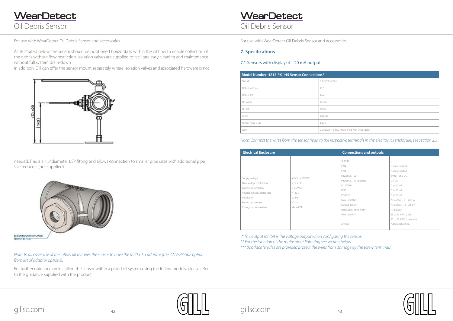<span id="page-21-0"></span>Oil Debris Sensor **WearDetect** 

### Oil Debris Sensor **WearDetect**

#### **7. Specifications**

#### 7.1 Sensors with display: 4 – 20 mA output

| Model Number: 4212-PK-145 Sensor Connections* |                                             |  |  |
|-----------------------------------------------|---------------------------------------------|--|--|
| Sheild                                        | Silver/Clear Wire                           |  |  |
| Debris measure                                | Red                                         |  |  |
| Debris Ref                                    | Blue                                        |  |  |
| Oil Signal                                    | Green                                       |  |  |
| Oil Ref                                       | White                                       |  |  |
| Temp                                          | Orange                                      |  |  |
| Sensor head GND                               | Black                                       |  |  |
| Wire                                          | 26 AWG PTFE 3G210 screened with DR25 jacket |  |  |

#### *Note: Connect the wires from the sensor head to the respective terminals in the electronics enclosure, see section 2.3*

| <b>Electrical Enclosure</b>                                                                                                                                  |                                                                                                  | <b>Connections and outputs</b>                                                                                                                                                                       |                                                                                                                                                                                                                                                                   |
|--------------------------------------------------------------------------------------------------------------------------------------------------------------|--------------------------------------------------------------------------------------------------|------------------------------------------------------------------------------------------------------------------------------------------------------------------------------------------------------|-------------------------------------------------------------------------------------------------------------------------------------------------------------------------------------------------------------------------------------------------------------------|
| Supply voltage<br>Over-voltage protection<br>Power consumption<br>Reverse polarity protection<br>Resolution<br>Report update rate<br>Configuration interface | $+9$ V to $+26$ V DC<br>$>$ 32 V DC<br>$< 5.6$ Watts<br>$> -32V$<br>10-bit<br>10 Hz<br>Micro USB | SHIELD<br>CAN H<br>CAN L<br>Power DC +ve<br>Power DC -ve (ground)<br>OIL/TEMP<br><b>FINE</b><br>COARSE<br>Error indication<br>Output inhibit*<br>Multicolour light ring**<br>Wire range***<br>Armour | Not connected<br>Not connected<br>$+9$ to $+26$ V DC<br>OV <sub>DC</sub><br>0 to 20 mA<br>0 to 20 mA<br>0 to 20 mA<br>All outputs, $0 - 20$ mA<br>All outputs, $0 - 20$ mA<br>All outputs<br>35 to 13 AWG (solid)<br>35 to 15 AWG (stranded)<br>Additional option |

*\* The output inhibit is the voltage output when configuring the sensor.*

*\*\* For the function of the multicolour light ring see section below.* 

*\*\*\* Bootlace ferrules are provided protect the wires from damage by the screw terminals.*

| screened with DR25 jacket |  |  |
|---------------------------|--|--|



As illustrated below, the sensor should be positioned horizontally within the oil flow to enable collection of the debris without flow restriction. Isolation valves are supplied to facilitate easy cleaning and maintenance without full system drain-down

In addition, Gill can offer the sensor mount separately where isolation valves and associated hardware is not



needed. This is a 1.5" diameter BSP fitting and allows connection to smaller pipe sizes with additional pipe size reducers (not supplied).



#### *Note: In all cases use of the Inflow kit requires the sensor to have the M20 x 1.5 adaptor (the 4212-PK-502 option from list of adaptor options).*

For further guidance on installing the sensor within a piped oil system using the Inflow models, please refer to the guidance supplied with the product.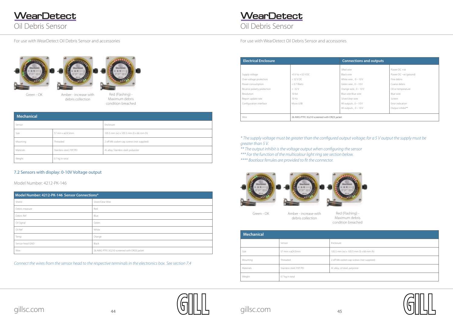## Oil Debris Sensor **WearDetect**

For use with WearDetect Oil Debris Sensor and accessories For use with WearDetect Oil Debris Sensor and accessories





<span id="page-22-0"></span>





Green - OK Amber - increase with debris collection

| <b>Mechanical</b> |                           |                |  |
|-------------------|---------------------------|----------------|--|
|                   | Sensor                    | Enclosure      |  |
| Size              | 57 mm x ø24.5mm           | 105.5 mm (     |  |
| Mounting          | Threaded                  | 2 off M6 so    |  |
| Materials         | Stainless steel, FEP, PEI | Al. alloy, st/ |  |
| Weight            | 0.7 kg in total           |                |  |

Red (Flashing) - Maximum debris condition breached

 $(w)$  x 105.5 mm (l) x 66 mm (h)

ocket-cap screws (not supplied)

steel, polyester



*\* The supply voltage must be greater than the configured output voltage; for a 5 V output the supply must be greater than 5 V.*

Green - OK Amber - increase with debris collection



*\*\* The output inhibit is the voltage output when configuring the sensor \*\*\* For the function of the multicolour light ring see section below.*

*\*\*\*\* Bootlace ferrules are provided to fit the connector.*



| <b>Mechanical</b>         |                           |                                           |  |
|---------------------------|---------------------------|-------------------------------------------|--|
| Sensor                    |                           | Enclosure                                 |  |
| Size                      | 57 mm x ø24.5mm           | 105.5 mm (w) x 105.5 mm (l) x 66 mm (h)   |  |
| Mounting                  | Threaded                  | 2 off M6 socket-cap screws (not supplied) |  |
| Materials                 | Stainless steel, FEP, PEI | Al. alloy, Stainless steel, polyester     |  |
| 0.7 kg in total<br>Weight |                           |                                           |  |

#### 7.2 Sensors with display: 0-10V Voltage output

Model Number: 4212-PK-146

*Connect the wires from the sensor head to the respective terminals in the electronics box. See section 7.4*

Red (Flashing) - Maximum debris condition breached

| Model Number: 4212-PK-146 Sensor Connections* |                                             |  |
|-----------------------------------------------|---------------------------------------------|--|
| Sheild                                        | Silver/Clear Wire                           |  |
| Debris measure                                | Red                                         |  |
| Debris Ref                                    | Blue                                        |  |
| Oil Signal                                    | Green                                       |  |
| Oil Ref                                       | White                                       |  |
| Temp                                          | Orange                                      |  |
| Sensor head GND                               | Black                                       |  |
| Wire                                          | 26 AWG PTFE 3G210 screened with DR25 jacket |  |

| <b>Electrical Enclosure</b> |                      | <b>Connections and outputs</b>              |                       |
|-----------------------------|----------------------|---------------------------------------------|-----------------------|
|                             |                      | SRed wire                                   | Power DC +ve          |
| Supply voltage              | $+5$ V to $+32$ V DC | Black wire                                  | Power DC -ve (ground) |
| Over-voltage protection     | $>$ 32 V DC          | White wire, $0 - 10V$                       | Fine debris           |
| Power consumption           | $< 0.7$ Watts        | Green wire, $0 - 10V$                       | Coarse debris         |
| Reverse polarity protection | $> -32V$             | Orange wire, $0 - 10V$                      | Oil or temperature    |
| Resolution                  | 10-bit               | Blue wire Blue wire                         | Blue wire             |
| Report update rate          | 10 Hz                | Silver/clear wire                           | Screen                |
| Configuration interface     | Micro USB            | All outputs, $0 - 10V$                      | Error indication      |
|                             |                      | All outputs, $0 - 10V$                      | Output inhibit**      |
| Wire                        |                      | 26 AWG PTFE 3G210 screened with DR25 jacket |                       |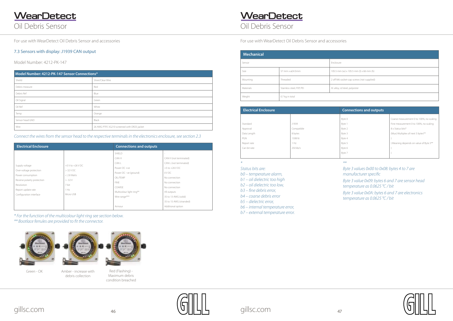<span id="page-23-0"></span>Oil Debris Sensor **WearDetect** 



| (w) x 105.5 mm (l) x 66 mm (h)  |  |
|---------------------------------|--|
| ocket-cap screws (not supplied) |  |
| /steel, polyester               |  |
|                                 |  |

Oil Debris Sensor

*Status bits are:* 

*b0 – temperature alarm,* 

*b1 – oil dielectric too high*

*b2 – oil dielectric too low,* 

*b3 – fine debris error,*

*b4 – coarse debris error*

*b5 – dielectric error,*

*b6 – internal temperature error,*

*b7 – external temperature error.*

## **WearDetect**

#### *\*\**



- *Byte 3 values 0x00 to 0x08: bytes 4 to 7 are manufacturer specific*
- *Byte 3 value 0x09: bytes 6 and 7 are sensor head temperature as 0.0625 °C / bit*
- *Byte 3 value 0x0A: bytes 6 and 7 are electronics temperature as 0.0625 °C / bit*



| <b>Electrical Enclosure</b> |            | <b>Connections and outputs</b> |                                          |
|-----------------------------|------------|--------------------------------|------------------------------------------|
|                             |            | Byte 0                         | Coarse measurement 0 to 100%, no scaling |
| Standard                    | J1939      | Byte 1                         | Fine measurement 0 to 100%, no scaling   |
| Approval                    | Compatible | Byte 2                         | 8 x Status bits*                         |
| Data Length                 | 8 bytes    | Byte 3                         | (Mux) Multiplex of next 5 bytes**        |
| PGN                         | 130816     | Byte 4                         |                                          |
| Report rate                 | 1 Hz       | Byte 5                         | } Meaning depends on value of Byte 3**   |
| Can bit rate                | 250 kb/s   | Byte 6                         |                                          |
|                             |            | Byte 7                         |                                          |
|                             |            |                                |                                          |

| <b>Mechanical</b> |                           |                                           |
|-------------------|---------------------------|-------------------------------------------|
| Sensor            |                           | Enclosure                                 |
| Size              | 57 mm x ø24.5mm           | 105.5 mm (w) x 105.5 mm (l) x 66 mm (h)   |
| Mounting          | Threaded                  | 2 off M6 socket-cap screws (not supplied) |
| <b>Materials</b>  | Stainless steel, FEP, PEI | Al. alloy, st/steel, polyester            |
| Weight            | 0.7 kg in total           |                                           |

#### 7.3 Sensors with display: J1939 CAN output

Model Number: 4212-PK-147

*Connect the wires from the sensor head to the respective terminals in the electronics enclosure, see section 2.3*

*\* For the function of the multicolour light ring see section below.*

*\*\* Bootlace ferrules are provided to fit the connector.*



Green - OK Amber - increase with



| Model Number: 4212-PK-147 Sensor Connections* |                                             |  |
|-----------------------------------------------|---------------------------------------------|--|
| Sheild                                        | Silver/Clear Wire                           |  |
| Debris measure                                | Red                                         |  |
| Debris Ref                                    | Blue                                        |  |
| Oil Signal                                    | Green                                       |  |
| Oil Ref                                       | White                                       |  |
| Temp                                          | Orange                                      |  |
| Sensor head GND                               | Black                                       |  |
| Wire                                          | 26 AWG PTFE 3G210 screened with DR25 jacket |  |

| <b>Electrical Enclosure</b>                                                                                                                                  |                                                                                               | <b>Connections and outputs</b>                                                                                                                                       |                                                                                                                                                                                                                            |
|--------------------------------------------------------------------------------------------------------------------------------------------------------------|-----------------------------------------------------------------------------------------------|----------------------------------------------------------------------------------------------------------------------------------------------------------------------|----------------------------------------------------------------------------------------------------------------------------------------------------------------------------------------------------------------------------|
| Supply voltage<br>Over-voltage protection<br>Power consumption<br>Reverse polarity protection<br>Resolution<br>Report update rate<br>Configuration interface | $+5$ V to $+26$ V DC<br>$>32$ V DC<br>$< 2.8$ Watts<br>$> -32V$<br>7-bit<br>1 Hz<br>Micro USB | SHIFLD<br>CAN H<br>CAN L<br>Power DC +ve<br>Power DC -ve (ground)<br><b>OIL/TEMP</b><br><b>FINE</b><br>COARSE<br>Multicolour light ring**<br>Wire range***<br>Armour | CAN H (not terminated)<br>CAN L (not terminated)<br>$+5$ to $+26$ V DC<br>0 V DC<br>No connection<br>No connection<br>No connection<br>All outputs<br>35 to 13 AWG (solid)<br>35 to 15 AWG (stranded)<br>Additional option |

debris collection

Red (Flashing) - Maximum debris condition breached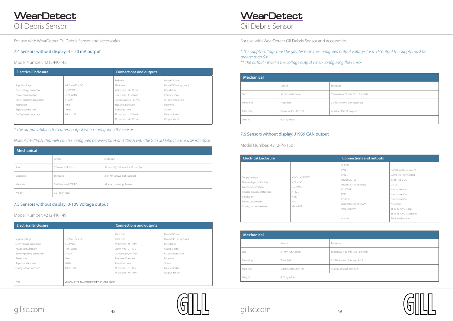## <span id="page-24-0"></span>Oil Debris Sensor **WearDetect**

# gillsc.com <sup>48</sup> gillsc.com <sup>49</sup>

## **WearDetect**

Oil Debris Sensor

| Mechanical |                           |                                   |
|------------|---------------------------|-----------------------------------|
|            | Sensor                    | Enclosure                         |
| Size       | 57 mm x ø24.5mm           | 55 mm (w) x 30 mm (l) x 12 mm (h) |
| Mounting   | Threaded                  | 2 off M4 screws (not supplied)    |
| Materials  | Stainless steel, FEP, PEI | Al. alloy, st/steel, polyester    |
| Weight     | 0.21 kg in total          |                                   |

### 7.5 Sensors without display: 0-10V Voltage output

#### Model Number: 4212-PK-149

*\* The supply voltage must be greater than the configured output voltage; for a 5 V output the supply must be greater than 5 V.*

*\*\* The output inhibit is the voltage output when configuring the sensor*

*\* The output inhibit is the current output when configuring the sensor*

#### *Note: All 4-20mA channels can be configured between 0mA and 20mA with the Gill Oil Debris Sensor user interface.*

#### 7.4 Sensors without display: 4 – 20 mA output

Model Number: 4212-PK-148

| <b>Electrical Enclosure</b> |                                             | <b>Connections and outputs</b> |                       |
|-----------------------------|---------------------------------------------|--------------------------------|-----------------------|
|                             |                                             | SRed wire                      | Power DC +ve          |
| Supply voltage              | $+5$ V to $+32$ V DC                        | Black wire                     | Power DC -ve (ground) |
| Over-voltage protection     | >32VDC                                      | White wire, $0 - 10V$          | Fine debris           |
| Power consumption           | $< 0.7$ Watts                               | Green wire, $0 - 10V$          | Coarse debris         |
| Reverse polarity protection | $> -32V$                                    | Orange wire, $0 - 10V$         | Oil or temperature    |
| Resolution                  | 10-bit                                      | Blue wire Blue wire            | Blue wire             |
| Report update rate          | 10 Hz                                       | Silver/clear wire              | Screen                |
| Configuration interface     | Micro USB                                   | All outputs, $0 - 10V$         | Error indication      |
|                             |                                             | All outputs, $0 - 10V$         | Output inhibit**      |
| Wire                        | 26 AWG PTFE 3G210 screened with DR25 jacket |                                |                       |

| <b>Electrical Enclosure</b> |                             | <b>Connections and outputs</b> |                        |                       |
|-----------------------------|-----------------------------|--------------------------------|------------------------|-----------------------|
|                             |                             |                                | Red wire               | Power DC +ve          |
|                             | Supply voltage              | $+9$ V to $+32$ V DC           | Black wire             | Power DC -ve (ground) |
|                             | Over-voltage protection     | $>32$ V DC                     | White wire, 4 - 20 mA  | Fine debris           |
|                             | Power consumption           | $<$ 2.6 Watts                  | Green wire, 4 - 20 mA  | Coarse debris         |
|                             | Reverse polarity protection | $> -32V$                       | Orange wire, 4 - 20 mA | Oil or temperature    |
|                             | Resolution                  | 10-bit                         | Blue wire Blue wire    | Blue wire             |
|                             | Report update rate          | 10 Hz                          | Silver/clear wire      | Screen                |
|                             | Configuration interface     | Micro USB                      | All outputs, 4 - 20 mA | Error indication      |
|                             |                             |                                | All outputs, 4 - 20 mA | Output inhibit*       |
|                             |                             |                                |                        |                       |

| <b>Mechanical</b> |                           |                                   |
|-------------------|---------------------------|-----------------------------------|
|                   | Sensor                    | Enclosure                         |
| Size              | 57 mm x ø24.5mm           | 55 mm (w) x 30 mm (l) x 12 mm (h) |
| Mounting          | Threaded                  | 2 off M4 screws (not supplied)    |
| Materials         | Stainless steel, FEP, PEI | Al. alloy, st/steel, polyester    |
| Weight            | 0.21 kg in total          |                                   |

### 7.6 Sensors without display: J1939 CAN output

Model Number: 4212-PK-150

| <b>Electrical Enclosure</b>                                                                                                                                  |                                                                                                | <b>Connections and outputs</b>                                                                                                                             |                                                                                                                                                                                                       |
|--------------------------------------------------------------------------------------------------------------------------------------------------------------|------------------------------------------------------------------------------------------------|------------------------------------------------------------------------------------------------------------------------------------------------------------|-------------------------------------------------------------------------------------------------------------------------------------------------------------------------------------------------------|
| Supply voltage<br>Over-voltage protection<br>Power consumption<br>Reverse polarity protection<br>Resolution<br>Report update rate<br>Configuration interface | $+5$ V to $+26$ V DC<br>$>$ 32 V DC<br>$< 2.8$ Watts<br>$> -32V$<br>7-bit<br>1 Hz<br>Micro USB | SHIELD<br>CAN H<br>CAN L<br>Power DC +ve<br>Power DC -ve (ground)<br><b>OIL/TEMP</b><br><b>FINE</b><br>COARSE<br>Multicolour light ring**<br>Wire range*** | CAN H (not terminated)<br>CAN L (not terminated)<br>$+5$ to $+26$ V DC<br>0 V DC<br>No connection<br>No connection<br>No connection<br>All outputs<br>35 to 13 AWG (solid)<br>35 to 15 AWG (stranded) |
|                                                                                                                                                              |                                                                                                | Armour                                                                                                                                                     | Additional option                                                                                                                                                                                     |

| <b>Mechanical</b> |                           |                                   |
|-------------------|---------------------------|-----------------------------------|
|                   | Sensor                    | Enclosure                         |
| Size              | 57 mm x ø24.5mm           | 55 mm (w) x 30 mm (l) x 12 mm (h) |
| Mounting          | Threaded                  | 2 off M4 screws (not supplied)    |
| Materials         | Stainless steel, FEP, PEI | Al. alloy, st/steel, polyester    |
| Weight            | 0.21 kg in total          |                                   |

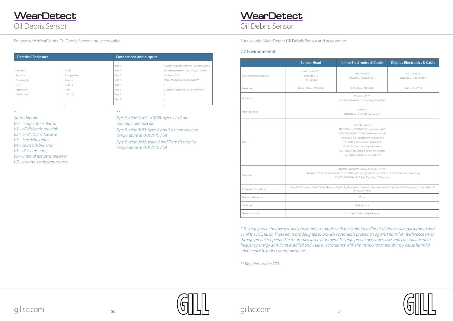<span id="page-25-0"></span>Oil Debris Sensor **WearDetect** 

## Oil Debris Sensor **WearDetect**





#### 7.7 Environmental

|                         | <b>Sensor Head</b>                                                                                                                                                                                                                                                                                                              | <b>Inline Electronics &amp; Cable</b>                           | <b>Display Electronics &amp; Cable</b>    |
|-------------------------|---------------------------------------------------------------------------------------------------------------------------------------------------------------------------------------------------------------------------------------------------------------------------------------------------------------------------------|-----------------------------------------------------------------|-------------------------------------------|
| Operational Temperature | $-26^{\circ}$ C to $+150^{\circ}$ C<br>EN60068-2-1,<br>ISO16750-4                                                                                                                                                                                                                                                               | -40 $^{\circ}$ C to +85 $^{\circ}$ C<br>EN60068-2-1, ISO16750-4 | -40°C to +85°C<br>EN60068-2-1, ISO16750-4 |
| Protection              | IP68 / IP69k to EN60529                                                                                                                                                                                                                                                                                                         | IP66/IP68 to EN60529<br>IP65 to EN60529                         |                                           |
| Humidity                |                                                                                                                                                                                                                                                                                                                                 | 95% RH +55 °C<br>EN60945, EN60068-2-30 Test Db, ISO16750-4      |                                           |
| Thermal Shock           |                                                                                                                                                                                                                                                                                                                                 | EN60945<br>EN60068-2-14 Test Na, ISO16750-4                     |                                           |
| <b>FMC</b>              | <b>EN60945 (Marine)</b><br>EN61000-6-3, EN61000-6-1 (Light industrial)<br>EN61000-6-4, EN61000-6-2 (Heavy industrial)<br>EN61326-2-1 (Measurement and control)<br>EN13309 (Construction machinery)<br>ISO 13766 (Earth moving machinery)<br>ISO 14982 (Agricultural & Forest machinery)<br>FCC ClassA Digital Device, part 15 * |                                                                 |                                           |
| Vibration               | EN60945 (Marine**) 3 axis, 2 to 13Hz, +/-1mm<br>EN60068-2-6 (Industrial) 3 Axis, 10 to 55 Hz 0.75mm or 10q and 13.2Hz to 100Hz constant acceleration of 0.7q<br>EN60068-2-27(Shock) 3 Axis, 25g, 6ms, 1000 cycles                                                                                                               |                                                                 |                                           |
| Chemical compatibility  | Fuels, Oils, Coolants, Fluids, Diesel, Gasoline, Hydraulic, Gear, Motor, Vegetable, Synthetic ester, Polyalphaolefin, Polyglycol, Ethylene Glycol,<br>water, Salt water                                                                                                                                                         |                                                                 |                                           |
| Differential pressure   | 10 bar                                                                                                                                                                                                                                                                                                                          |                                                                 |                                           |
| Cable pull              |                                                                                                                                                                                                                                                                                                                                 | 50 N all 3 axis                                                 |                                           |
| General handling        | 1 m drop all 3 sides (in packaging)                                                                                                                                                                                                                                                                                             |                                                                 |                                           |

*\** 

*Status bits are:* 

*b0 – temperature alarm,* 

*b1 – oil dielectric too high*

- *b2 oil dielectric too low,*
- *b3 fine debris error,*
- *b4 coarse debris error*

*b5 – dielectric error,*

*b6 – internal temperature error,*

*b7 – external temperature error.*

*\*\** 

*Byte 3 values 0x00 to 0x08: bytes 4 to 7 are manufacturer specific Byte 3 value 0x09: bytes 6 and 7 are sensor head temperature as 0.0625 °C / bit Byte 3 value 0x0A: bytes 6 and 7 are electronics temperature as 0.0625 °C / bit*

| <b>Electrical Enclosure</b> |            | <b>Connections and outputs</b> |                                          |
|-----------------------------|------------|--------------------------------|------------------------------------------|
|                             |            | Byte 0                         | Coarse measurement 0 to 100%, no scaling |
| Standard                    | J1939      | Byte <sup>1</sup>              | Fine measurement 0 to 100%, no scaling   |
| Approval                    | Compatible | Byte 2                         | 8 x Status bits*                         |
| Data Length                 | 8 bytes    | Byte 3                         | (Mux) Multiplex of next 5 bytes**        |
| PGN                         | 130816     | Byte 4                         |                                          |
| Report rate                 | 1 Hz       | Byte 5                         | } Meaning depends on value of Byte 3**   |
| Can bit rate                | 250 kb/s   | Byte 6                         |                                          |
|                             |            | Byte 7                         |                                          |
|                             |            |                                |                                          |

*\* This equipment has been tested and found to comply with the limits for a Class A digital device, pursuant to part*  15 of the FCC Rules. These limits are designed to provide reasonable protection against harmful interference when *the equipment is operated in a commercial environment. This equipment generates, uses and can radiate radio frequency energy and, if not installed and used in accordance with the instruction manual, may cause harmful interference to radio communications.*

*\*\* Requires Loctite 270*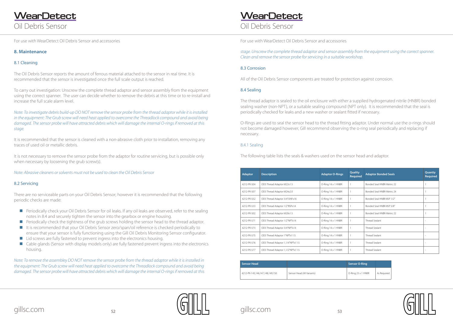<span id="page-26-0"></span>Oil Debris Sensor **WearDetect** 

### Oil Debris Sensor **WearDetect**





*stage. Unscrew the complete thread adaptor and sensor assembly from the equipment using the correct spanner. Clean and remove the sensor probe for servicing in a suitable workshop.*

#### 8.3 Corrosion

All of the Oil Debris Sensor components are treated for protection against corrosion.

#### 8.4 Sealing

The thread adaptor is sealed to the oil enclosure with either a supplied hydrogenated nitrile (HNBR) bonded sealing washer (non-NPT), or a suitable sealing compound (NPT only). It is recommended that the seal is periodically checked for leaks and a new washer or sealant fitted if necessary.

O-Rings are used to seal the sensor head to the thread fitting adaptor. Under normal use the o-rings should not become damaged however, Gill recommend observing the o-ring seal periodically and replacing if necessary.

#### 8.4.1 Sealing

It is not necessary to remove the sensor probe from the adaptor for routine servicing, but is possible only when necessary by loosening the grub screw(s).

The following table lists the seals & washers used on the sensor head and adaptor.

#### **8. Maintenance**

#### 8.1 Cleaning

The Oil Debris Sensor reports the amount of ferrous material attached to the sensor in real time. It is recommended that the sensor is investigated once the full scale output is reached.

To carry out investigation: Unscrew the complete thread adaptor and sensor assembly from the equipment using the correct spanner. The user can decide whether to remove the debris at this time or to re-install and increase the full scale alarm level.

- **Periodically check your Oil Debris Sensor for oil leaks. If any oil leaks are observed, refer to the sealing** notes in 8.4 and securely tighten the sensor into the gearbox or engine housing.
- **Periodically check the tightness of the grub screws holding the sensor head to the thread adaptor.**
- It is recommended that your Oil Debris Sensor zero/span/oil reference is checked periodically to ensure that your sensor is fully functioning using the Gill Oil Debris Monitoring Sensor configurator.
- Lid screws are fully fastened to prevent ingress into the electronics housing.
- Cable glands (Sensor with display models only) are fully fastened prevent ingress into the electronics housing.

*Note: To investigate debris build-up DO NOT remove the sensor probe from the thread adaptor while it is installed*  in the equipment: The Grub screw will need heat applied to overcome the Threadlock compound and avoid being *damaged. The sensor probe will have attracted debris which will damage the internal O-rings if removed at this stage.*

It is recommended that the sensor is cleaned with a non-abrasive cloth prior to installation, removing any traces of used oil or metallic debris.

*Note: Abrasive cleaners or solvents must not be used to clean the Oil Debris Sensor*

#### 8.2 Servicing

There are no serviceable parts on your Oil Debris Sensor; however it is recommended that the following periodic checks are made:

*Note: To remove the assembley DO NOT remove the sensor probe from the thread adaptor while it is installed in the equipment: The Grub screw will need heat applied to overcome the Threadlock compound and avoid being damaged. The sensor probe will have attracted debris which will damage the internal O-rings if removed at this* 

| <b>Adaptor</b> | <b>Description</b>                | <b>Adaptor O-Rings</b> | Quality<br><b>Required</b> | <b>Adaptor Bonded Seals</b> | Quantiy<br><b>Required</b> |
|----------------|-----------------------------------|------------------------|----------------------------|-----------------------------|----------------------------|
| 4212-PK-504    | ODS Thread Adaptor M22x1.5        | O-Ring 14 x 1 HNBR     |                            | Bonded Seal HNBR-Metric 22  |                            |
| 4212-PK-507    | ODS Thread Adaptor M24x2.0        | O-Ring 14 x 1 HNBR     |                            | Bonded Seal HNBR-Metric 24  |                            |
| 4212-PK-552    | ODS Thread Adaptor 3/4"UNFx16     | O-Ring 14 x 1 HNBR     |                            | Bonded Seal HNBR-BSP 1/2"   |                            |
| 4212-PK-533    | ODS Thread Adaptor 1/2"BSPx14     | O-Ring 14 x 1 HNBR     |                            | Bonded Seal HNBR-BSP 5/8"   |                            |
| 4212-PK-502    | ODS Thread Adaptor M20x1.5        | O-Ring 14 x 1 HNBR     |                            | Bonded Seal HNBR-Metric 22  |                            |
| 4212-PK-571    | ODS Thread Adaptor 1/2"NPTx14     | O-Ring 14 x 1 HNBR     |                            | Thread Sealant              | $\overline{\phantom{a}}$   |
| 4212-PK-573    | ODS Thread Adaptor 3/4"NPTx14     | O-Ring 14 x 1 HNBR     |                            | <b>Thread Sealant</b>       | $\overline{\phantom{a}}$   |
| 4212-PK-575    | ODS Thread Adaptor 1"NPTx11.5     | O-Ring 14 x 1 HNBR     |                            | Thread Sealant              |                            |
| 4212-PK-576    | ODS Thread Adaptor 1,1/4"NPTx11.5 | O-Ring 14 x 1 HNBR     |                            | Thread Sealant              | $\overline{\phantom{a}}$   |
| 4212-PK-577    | ODS Thread Adaptor 1,1/2"NPTx11.5 | O-Ring 14 x 1 HNBR     |                            | Thread Sealant              | $\overline{\phantom{a}}$   |

| Sensor Head                     |                            | <b>Sensor O-Ring</b>      |             |
|---------------------------------|----------------------------|---------------------------|-------------|
| 4212-PK-145,146,147,148,149,150 | Sensor Head (All Variants) | $\circ$ -Ring 23 x 1 HNBR | As Reauired |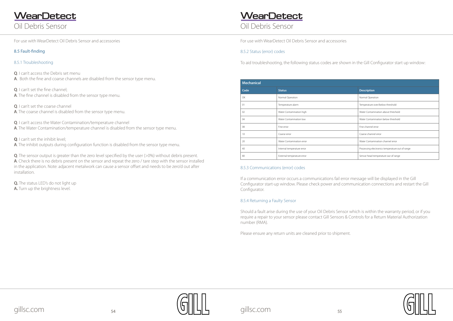<span id="page-27-0"></span>Oil Debris Sensor **WearDetect** 





Oil Debris Sensor

#### 8.5.3 Communications (error) codes

If a communication error occurs a communications fail error message will be displayed in the Gill Configurator start-up window. Please check power and communication connections and restart the Gill Configurator.

#### 8.5.4 Returning a Faulty Sensor

Should a fault arise during the use of your Oil Debris Sensor which is within the warranty period, or if you require a repair to your sensor please contact Gill Sensors & Controls for a Return Material Authorization number (RMA).

Please ensure any return units are cleaned prior to shipment.

| <b>Mechanical</b>          |                                                 |  |  |  |
|----------------------------|-------------------------------------------------|--|--|--|
| <b>Status</b>              | <b>Description</b>                              |  |  |  |
| Normal Operation           | Normal Operation                                |  |  |  |
| Temperature alarm          | Temperature over/below threshold                |  |  |  |
| Water Contamination high   | Water Contamination above threshold             |  |  |  |
| Water Contamination low    | Water Contamination below threshold             |  |  |  |
| Fine error                 | Fine channel error                              |  |  |  |
| Coarse error               | Coarse channel error                            |  |  |  |
| Water Contamination error  | Water Contamination channel error               |  |  |  |
| Internal temperature error | Processing electronics temperature out of range |  |  |  |
| External temperature error | Sensor head temperature out of range            |  |  |  |
|                            |                                                 |  |  |  |

**Q**. The sensor output is greater than the zero level specified by the user (>0%) without debris present. **A**. Check there is no debris present on the sensor and repeat the zero / tare step with the sensor installed in the application. Note: adjacent metalwork can cause a sensor offset and needs to be zero'd out after installation.

#### 8.5 Fault-finding

#### 8.5.1 Troubleshooting

**Q**. I can't access the Debris set menu

- **A**. Both the fine and coarse channels are disabled from the sensor type menu.
- **Q**. I can't set the fine channel; **A**. The fine channel is disabled from the sensor type menu.
- **Q**. I can't set the coarse channel **A**. The coarse channel is disabled from the sensor type menu.
- **Q**. I can't access the Water Contamination/temperature channel **A**. The Water Contamination/temperature channel is disabled from the sensor type menu.

**Q**. I can't set the inhibit level;

**A**. The inhibit outputs during configuration function is disabled from the sensor type menu.

**Q.** The status LED's do not light up **A.** Turn up the brightness level.

## **WearDetect**

#### 8.5.2 Status (error) codes

To aid troubleshooting, the following status codes are shown in the Gill Configurator start up window: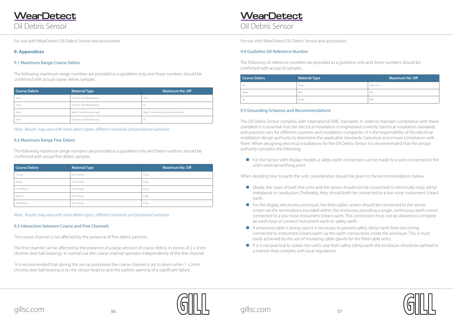<span id="page-28-0"></span>Oil Debris Sensor **WearDetect** 



Oil Debris Sensor

### **9. Appendices**

#### 9.1 Maximum Range Coarse Debris

The following maximum range numbers are provided as a guideline only and these numbers should be confirmed with actual coarse debris samples.

| Course Debris | <b>Material Type</b>      | <b>Maximum No. Off</b>              |
|---------------|---------------------------|-------------------------------------|
| 2mm           | Chrome Steel Ball Bearing | >20                                 |
| 3mm           | Chrome Steel Ball Bearing | 20                                  |
| 4mm           | Water Contamination high  | Water Contamination above threshold |
| 5mm           | Chrome Steel Ball Bearing | 10                                  |

| <b>Course Debris</b> | <b>Material Type</b> | <b>Maximum No. Off</b> |
|----------------------|----------------------|------------------------|
| $1-6 \mu m$          | Iron Powder          | 0.41q                  |
| $60 \mu m$           | Iron Powder          | 0.44q                  |
| 125-300 µm           | Iron Powder          | 0.43q                  |
| 450 µm               | Iron Fillings        | 0.48g                  |
| 420-850 µm           | Iron Fillings        | 0.35q                  |

#### 9.2 Maximum Range Fine Debris

The following maximum range numbers are provided as a guideline only and these numbers should be confirmed with actual fine debris samples.

*Note: Results may vary with more debris layers, different materials and positional variation.*

*Note: Results may vary with more debris layers, different materials and positional variation.*

#### 9.3 Interaction between Coarse and Fine Channels

For the Sensor with display models, a safety earth connection can be made by a wire connected to the unit's external earthing point.

The coarse channel is not affected by the presence of fine debris particles.

The fine channel can be affected by the presence of a large amount of coarse debris, in excess of 2 x 2mm chrome steel ball bearings. In normal use the coarse channel operates independently of the fine channel.

 It is recommended that during the set-up procedure the coarse channel is set to alarm when 1 x 2mm chrome steel ball bearing is on the sensor head to give the earliest warning of a significant failure.

## **WearDetect**

#### 9.5 Grounding Schemes and Recommendations

- $\blacksquare$  Ideally, the cases of both the units and the sensor should not be connected to electrically noisy (dirty) earth.
- For the display electronics enclosure, the field cable's screen should be connected to the sensor an earth loop or connect instrument earth to safety earth.
- $\blacksquare$  If armoured cable is being used it is necessary to prevent safety (dirty) earth from becoming connected to instrument (clean) earth via the earth connections inside the enclosure. This is most easily achieved by the use of insulating cable glands for the field cable entry.
- If it is not practical to isolate the unit's case from safety (dirty) earth the enclosure should be earthed in a manner that complies with local regulations.

The Oil Debris Sensor complies with International EMC standards. In order to maintain compliance with these standards it is essential that the electrical installation is engineered correctly. Electrical installation standards and practices vary for different countries and installation companies. It is the responsibility of the electrical installation design authority to determine the applicable standards / practices and ensure compliance with them. When designing electrical installations for the Oil Debris Sensor it is recommended that the design authority considers the following:

When deciding how to earth the unit, consideration should be given to the recommendations below.

metalwork or conductors. Preferably, they should both be connected to a low noise instrument (clean)

screen via the terminations provided within the enclosure, providing a single, continuous earth screen connected to a low noise instrument (clean) earth. This connection must not be allowed to complete



#### 9.4 Guideline Oil Reference Number

The following oil reference numbers are provided as a guideline only and these numbers should be confirmed with actual oil samples.

| <b>Course Debris</b> | <b>Material Type</b> | <b>Maximum No. Off</b> |
|----------------------|----------------------|------------------------|
| Air                  | Green                | 1000-1015              |
| Water                | Red                  | 860                    |
| Oil                  | Green                | 990                    |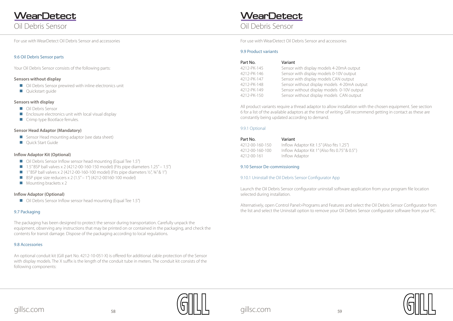

1A output -20mA output 10V output AN output



Oil Debris Sensor

#### <span id="page-29-0"></span>9.6 Oil Debris Sensor parts

Your Oil Debris Sensor consists of the following parts:

#### **Sensors without display**

- Oil Debris Sensor prewired with inline electronics unit
- **Quickstart guide**

#### **Sensors with display**

- **Oil Debris Sensor**
- $\blacksquare$  Enclosure electronics unit with local visual display
- Crimp type Bootlace ferrules.

#### **Sensor Head Adaptor (Mandatory)**

- Sensor Head mounting adaptor (see data sheet)
- **Quick Start Guide**

#### **Inflow Adaptor Kit (Optional)**

- Oil Debris Sensor Inflow sensor head mounting (Equal Tee 1.5")
- $\Box$  1.5" BSP ball valves x 2 (4212-00-160-150 model) (Fits pipe diameters 1.25" 1.5")
- 1" BSP ball valves x 2 (4212-00-160-100 model) (Fits pipe diameters  $\frac{1}{2}$ ,  $\frac{3}{4}$ " & 1")
- $\Box$  BSP pipe size reducers x 2 (1.5" 1") (4212-00160-100 model)
- $\blacksquare$  Mounting brackets x 2

#### **Inflow Adaptor (Optional)**

■ Oil Debris Sensor Inflow sensor head mounting (Equal Tee 1.5")

#### 9.7 Packaging

The packaging has been designed to protect the sensor during transportation. Carefully unpack the equipment, observing any instructions that may be printed on or contained in the packaging, and check the contents for transit damage. Dispose of the packaging according to local regulations.

#### 9.8 Accessories

An optional conduit kit (Gill part No. 4212-10-051-X) is offered for additional cable protection of the Sensor with display models. The X suffix is the length of the conduit tube in meters. The conduit kit consists of the following components:

## **WearDetect**

#### 9.9 Product variants

| Part No.    | Variant                                 |
|-------------|-----------------------------------------|
| 4212-PK-145 | Sensor with display models 4-20mA outp  |
| 4212-PK-146 | Sensor with display models 0-10V output |
| 4212-PK-147 | Sensor with display models CAN output   |
| 4212-PK-148 | Sensor without display models 4-20mA o  |
| 4212-PK-149 | Sensor without display models 0-10V out |
| 4212-PK-150 | Sensor without display models CAN outp  |
|             |                                         |

All product variants require a thread adaptor to allow installation with the chosen equipment. See section 6 for a list of the available adaptors at the time of writing. Gill recommend getting in contact as these are constantly being updated according to demand.

#### 9.9.1 Optional

4212-00-160-150 Inflow Adaptor Kit 1.5" (Also fits 1.25") 4212-00-160-100 Inflow Adaptor Kit 1" (Also fits 0.75" & 0.5" )

Part No. Variant 4212-00-161 Inflow Adaptor

#### 9.10 Sensor De-commissioning

#### 9.10.1 Uninstall the Oil Debris Sensor Configurator App

Launch the Oil Debris Sensor configurator uninstall software application from your program file location selected during installation.

Alternatively, open Control Panel>Programs and Features and select the Oil Debris Sensor Configurator from the list and select the Uninstall option to remove your Oil Debris Sensor configurator software from your PC.